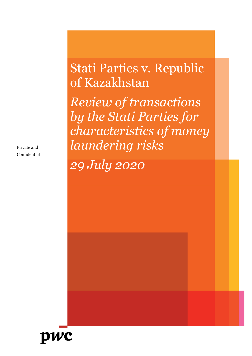Private and Confidential

# Stati Parties v. Republic of Kazakhstan

*Review of transactions by the Stati Parties for characteristics of money laundering risks* 

*29 July 2020* 

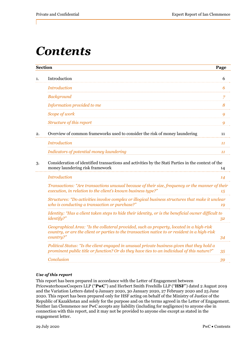# *Contents*

|    | <b>Section</b>                                                                                                                                                                                         | Page           |
|----|--------------------------------------------------------------------------------------------------------------------------------------------------------------------------------------------------------|----------------|
| 1. | Introduction                                                                                                                                                                                           | 6              |
|    | <b>Introduction</b>                                                                                                                                                                                    | 6              |
|    | <b>Background</b>                                                                                                                                                                                      | $\overline{7}$ |
|    | Information provided to me                                                                                                                                                                             | 8              |
|    | Scope of work                                                                                                                                                                                          | 9              |
|    | Structure of this report                                                                                                                                                                               | 9              |
| 2. | Overview of common frameworks used to consider the risk of money laundering                                                                                                                            | 11             |
|    | <b>Introduction</b>                                                                                                                                                                                    | 11             |
|    | Indicators of potential money laundering                                                                                                                                                               | 11             |
| 3. | Consideration of identified transactions and activities by the Stati Parties in the context of the<br>money laundering risk framework                                                                  | 14             |
|    | <b>Introduction</b>                                                                                                                                                                                    | 14             |
|    | Transactions: "Are transactions unusual because of their size, frequency or the manner of their<br>execution, in relation to the client's known business type?"                                        | 15             |
|    | Structures: "Do activities involve complex or illogical business structures that make it unclear<br>who is conducting a transaction or purchase?"                                                      | 19             |
|    | Identity: "Has a client taken steps to hide their identity, or is the beneficial owner difficult to<br>identify?"                                                                                      | 32             |
|    | Geographical Area: "Is the collateral provided, such as property, located in a high-risk<br>country, or are the client or parties to the transaction native to or resident in a high-risk<br>country?" | 34             |
|    | Political Status: "Is the client engaged in unusual private business given that they hold a<br>prominent public title or function? Or do they have ties to an individual of this nature?"              | 35             |
|    | Conclusion                                                                                                                                                                                             | 39             |

## *Use of this report*

This report has been prepared in accordance with the Letter of Engagement between PricewaterhouseCoopers LLP ("**PwC**") and Herbert Smith Freehills LLP ("**HSF**") dated 2 August 2019 and the Variation Letters dated 9 January 2020, 30 January 2020, 27 February 2020 and 25 June 2020. This report has been prepared only for HSF acting on behalf of the Ministry of Justice of the Republic of Kazakhstan and solely for the purpose and on the terms agreed in the Letter of Engagement. Neither Ian Clemmence nor PwC accepts any liability (including for negligence) to anyone else in connection with this report, and it may not be provided to anyone else except as stated in the engagement letter.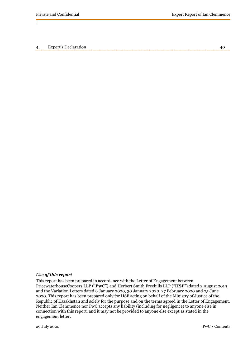4. Expert's Declaration 40

### *Use of this report*

This report has been prepared in accordance with the Letter of Engagement between PricewaterhouseCoopers LLP ("**PwC**") and Herbert Smith Freehills LLP ("**HSF**") dated 2 August 2019 and the Variation Letters dated 9 January 2020, 30 January 2020, 27 February 2020 and 25 June 2020. This report has been prepared only for HSF acting on behalf of the Ministry of Justice of the Republic of Kazakhstan and solely for the purpose and on the terms agreed in the Letter of Engagement. Neither Ian Clemmence nor PwC accepts any liability (including for negligence) to anyone else in connection with this report, and it may not be provided to anyone else except as stated in the engagement letter.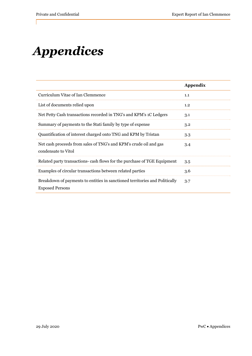# *Appendices*

|                                                                                                       | Appendix |
|-------------------------------------------------------------------------------------------------------|----------|
| Curriculum Vitae of Ian Clemmence                                                                     | 1.1      |
| List of documents relied upon                                                                         | 1.2      |
| Net Petty Cash transactions recorded in TNG's and KPM's 1C Ledgers                                    | 3.1      |
| Summary of payments to the Stati family by type of expense                                            | 3.2      |
| Quantification of interest charged onto TNG and KPM by Tristan                                        | 3.3      |
| Net cash proceeds from sales of TNG's and KPM's crude oil and gas<br>condensate to Vitol              | 3.4      |
| Related party transactions- cash flows for the purchase of TGE Equipment                              | 3.5      |
| Examples of circular transactions between related parties                                             | 3.6      |
| Breakdown of payments to entities in sanctioned territories and Politically<br><b>Exposed Persons</b> | 3.7      |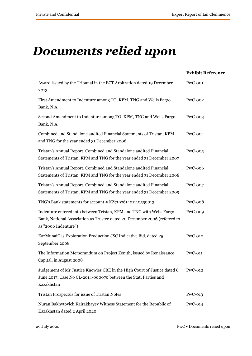# *Documents relied upon*

|                                                                                                                                                                           | <b>Exhibit Reference</b> |
|---------------------------------------------------------------------------------------------------------------------------------------------------------------------------|--------------------------|
| Award issued by the Tribunal in the ECT Arbitration dated 19 December<br>2013                                                                                             | PwC-001                  |
| First Amendment to Indenture among TO, KPM, TNG and Wells Fargo<br>Bank, N.A.                                                                                             | <b>PwC-002</b>           |
| Second Amendment to Indenture among TO, KPM, TNG and Wells Fargo<br>Bank, N.A.                                                                                            | $PwC-003$                |
| Combined and Standalone audited Financial Statements of Tristan, KPM<br>and TNG for the year ended 31 December 2006                                                       | $PwC-004$                |
| Tristan's Annual Report, Combined and Standalone audited Financial<br>Statements of Tristan, KPM and TNG for the year ended 31 December 2007                              | $PwC-005$                |
| Tristan's Annual Report, Combined and Standalone audited Financial<br>Statements of Tristan, KPM and TNG for the year ended 31 December 2008                              | <b>PwC-006</b>           |
| Tristan's Annual Report, Combined and Standalone audited Financial<br>Statements of Tristan, KPM and TNG for the year ended 31 December 2009                              | PwC-007                  |
| TNG's Bank statements for account # KZ719261401110550013                                                                                                                  | <b>PwC-008</b>           |
| Indenture entered into between Tristan, KPM and TNG with Wells Fargo<br>Bank, National Association as Trustee dated 20 December 2006 (referred to<br>as "2006 Indenture") | <b>PwC-009</b>           |
| KazMunaiGas Exploration Production JSC Indicative Bid, dated 25<br>September 2008                                                                                         | <b>PwC-010</b>           |
| The Information Memorandum on Project Zenith, issued by Renaissance<br>Capital, in August 2008                                                                            | $PwC-011$                |
| Judgement of Mr Justice Knowles CBE in the High Court of Justice dated 6<br>June 2017, Case No CL-2014-000070 between the Stati Parties and<br>Kazakhstan                 | <b>PwC-012</b>           |
| Tristan Prospectus for issue of Tristan Notes                                                                                                                             | $PwC-013$                |
| Nuran Bakhytovich Kairakbayev Witness Statement for the Republic of<br>Kazakhstan dated 2 April 2020                                                                      | $PwC-014$                |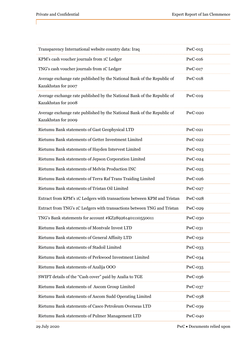| Transparency International website country data: Iraq                                          | $PwC-015$      |
|------------------------------------------------------------------------------------------------|----------------|
| KPM's cash voucher journals from 1C Ledger                                                     | <b>PwC-016</b> |
| TNG's cash voucher journals from 1C Ledger                                                     | $PwC-017$      |
| Average exchange rate published by the National Bank of the Republic of<br>Kazakhstan for 2007 | $PwC-018$      |
| Average exchange rate published by the National Bank of the Republic of<br>Kazakhstan for 2008 | $PwC-019$      |
| Average exchange rate published by the National Bank of the Republic of<br>Kazakhstan for 2009 | $PwC-020$      |
| Rietumu Bank statements of Gast Geophysical LTD                                                | $PwC-021$      |
| Rietumu Bank statements of Getter Investment Limited                                           | <b>PwC-022</b> |
| Rietumu Bank statements of Hayden Intervest Limited                                            | PwC-023        |
| Rietumu Bank statements of Jepson Corporation Limited                                          | <b>PwC-024</b> |
| Rietumu Bank statements of Melvin Production INC                                               | PwC-025        |
| Rietumu Bank statements of Terra Raf Trans Traiding Limited                                    | $PwC-026$      |
| Rietumu Bank statements of Tristan Oil Limited                                                 | <b>PwC-027</b> |
| Extract from KPM's 1C Ledgers with transactions between KPM and Tristan                        | PwC-028        |
| Extract from TNG's 1C Ledgers with transactions between TNG and Tristan                        | <b>PwC-029</b> |
| TNG's Bank statements for account #KZ289261401110550011                                        | <b>PwC-030</b> |
| Rietumu Bank statements of Montvale Invest LTD                                                 | $PwC-031$      |
| Rietumu Bank statements of General Affinity LTD                                                | PwC-032        |
| Rietumu Bank statements of Stadoil Limited                                                     | PwC-033        |
| Rietumu Bank statements of Perkwood Investment Limited                                         | $PwC-034$      |
| Rietumu Bank statements of Azalija OOO                                                         | $PwC-035$      |
| SWIFT details of the "Cash cover" paid by Azalia to TGE                                        | PwC-036        |
| Rietumu Bank statements of Ascom Group Limited                                                 | $PwC-037$      |
| Rietumu Bank statements of Ascom Sudd Operating Limited                                        | PwC-038        |
| Rietumu Bank statements of Casco Petroleum Overseas LTD                                        | PwC-039        |
| Rietumu Bank statements of Pulmer Management LTD                                               | $PwC-040$      |

29 July 2020 PwC Documents relied upon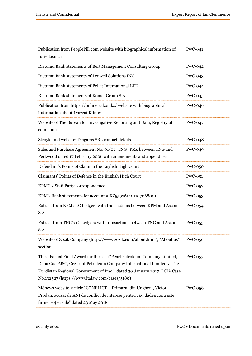| Publication from PeoplePill.com website with biographical information of<br>Iurie Leanca                                                                                                                                                                                        | $PwC-041$      |
|---------------------------------------------------------------------------------------------------------------------------------------------------------------------------------------------------------------------------------------------------------------------------------|----------------|
| Rietumu Bank statements of Bert Management Consulting Group                                                                                                                                                                                                                     | $PwC-042$      |
| Rietumu Bank statements of Lenwell Solutions INC                                                                                                                                                                                                                                | $PwC-043$      |
| Rietumu Bank statements of Pellat International LTD                                                                                                                                                                                                                             | $PwC-044$      |
| Rietumu Bank statements of Komet Group S.A                                                                                                                                                                                                                                      | $PwC-045$      |
| Publication from https://online.zakon.kz/ website with biographical<br>information about Lyazzat Kiinov                                                                                                                                                                         | $PwC-046$      |
| Website of The Bureau for Investigative Reporting and Data, Registry of<br>companies                                                                                                                                                                                            | $PwC-047$      |
| Stroyka.md website: Diagaras SRL contact details                                                                                                                                                                                                                                | $PwC-048$      |
| Sales and Purchase Agreement No. 01/01_TNG_PRK between TNG and<br>Perkwood dated 17 February 2006 with amendments and appendices                                                                                                                                                | <b>PwC-049</b> |
| Defendant's Points of Claim in the English High Court                                                                                                                                                                                                                           | $PwC-050$      |
| Claimants' Points of Defence in the English High Court                                                                                                                                                                                                                          | $PwC-051$      |
| KPMG / Stati Party correspondence                                                                                                                                                                                                                                               | $PwC-052$      |
| KPM's Bank statements for account # KZ559261401107068001                                                                                                                                                                                                                        | $PwC-053$      |
| Extract from KPM's 1C Ledgers with transactions between KPM and Ascom<br>S.A.                                                                                                                                                                                                   | PwC-054        |
| Extract from TNG's 1C Ledgers with transactions between TNG and Ascom<br>S.A.                                                                                                                                                                                                   | $PwC-055$      |
| Website of Zozik Company (http://www.zozik.com/about.html), "About us"<br>section                                                                                                                                                                                               | $PwC-056$      |
| Third Partial Final Award for the case "Pearl Petroleum Company Limited,<br>Dana Gas PJSC, Crescent Petroleum Company International Limited v. The<br>Kurdistan Regional Government of Iraq", dated 30 January 2017, LCIA Case<br>No.132527 (https://www.italaw.com/cases/5180) | $PwC-057$      |
| MSnews website, article "CONFLICT - Primarul din Ungheni, Victor<br>Prodan, acuzat de ANI de conflict de interese pentru că-i dădea contracte<br>firmei soției sale" dated 23 May 2018                                                                                          | $PwC-058$      |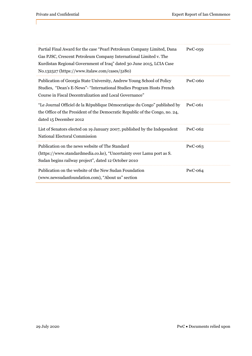| Partial Final Award for the case "Pearl Petroleum Company Limited, Dana<br>Gas PJSC, Crescent Petroleum Company International Limited v. The<br>Kurdistan Regional Government of Iraq" dated 30 June 2015, LCIA Case<br>No.132527 (https://www.italaw.com/cases/5180) | $PwC-059$ |
|-----------------------------------------------------------------------------------------------------------------------------------------------------------------------------------------------------------------------------------------------------------------------|-----------|
| Publication of Georgia State University, Andrew Young School of Policy<br>Studies, "Dean's E-News"- "International Studies Program Hosts French<br>Course in Fiscal Decentralization and Local Governance"                                                            | $PwC-060$ |
| "Le Journal Officiel de la République Démocratique du Congo" published by<br>the Office of the President of the Democratic Republic of the Congo, no. 24,<br>dated 15 December 2012                                                                                   | $PwC-061$ |
| List of Senators elected on 19 January 2007, published by the Independent<br>National Electoral Commission                                                                                                                                                            | $PwC-062$ |
| Publication on the news website of The Standard<br>(https://www.standardmedia.co.ke), "Uncertainty over Lamu port as S.<br>Sudan begins railway project", dated 12 October 2010                                                                                       | $PwC-063$ |
| Publication on the website of the New Sudan Foundation<br>(www.newsudanfoundation.com), "About us" section                                                                                                                                                            | $PwC-064$ |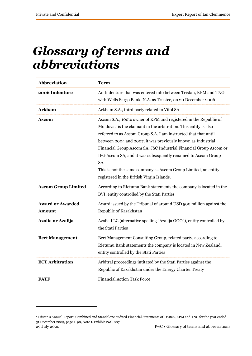# *Glossary of terms and abbreviations*

| Abbreviation                             | <b>Term</b>                                                                                                                                                                                                                                                                                                                                                                                                                                                                                                                                    |
|------------------------------------------|------------------------------------------------------------------------------------------------------------------------------------------------------------------------------------------------------------------------------------------------------------------------------------------------------------------------------------------------------------------------------------------------------------------------------------------------------------------------------------------------------------------------------------------------|
| 2006 Indenture                           | An Indenture that was entered into between Tristan, KPM and TNG<br>with Wells Fargo Bank, N.A. as Trustee, on 20 December 2006                                                                                                                                                                                                                                                                                                                                                                                                                 |
| <b>Arkham</b>                            | Arkham S.A., third party related to Vitol SA                                                                                                                                                                                                                                                                                                                                                                                                                                                                                                   |
| Ascom                                    | Ascom S.A., 100% owner of KPM and registered in the Republic of<br>Moldova, <sup>1</sup> is the claimant in the arbitration. This entity is also<br>referred to as Ascom Group S.A. I am instructed that that until<br>between 2004 and 2007, it was previously known as Industrial<br>Financial Group Ascom SA, JSC Industrial Financial Group Ascom or<br>IFG Ascom SA, and it was subsequently renamed to Ascom Group<br>SA.<br>This is not the same company as Ascom Group Limited, an entity<br>registered in the British Virgin Islands. |
| <b>Ascom Group Limited</b>               | According to Rietumu Bank statements the company is located in the<br>BVI, entity controlled by the Stati Parties                                                                                                                                                                                                                                                                                                                                                                                                                              |
| <b>Award or Awarded</b><br><b>Amount</b> | Award issued by the Tribunal of around USD 500 million against the<br>Republic of Kazakhstan                                                                                                                                                                                                                                                                                                                                                                                                                                                   |
| Azalia or Azalija                        | Azalia LLC (alternative spelling "Azalija OOO"), entity controlled by<br>the Stati Parties                                                                                                                                                                                                                                                                                                                                                                                                                                                     |
| <b>Bert Management</b>                   | Bert Management Consulting Group, related party, according to<br>Rietumu Bank statements the company is located in New Zealand,<br>entity controlled by the Stati Parties                                                                                                                                                                                                                                                                                                                                                                      |
| <b>ECT Arbitration</b>                   | Arbitral proceedings intitated by the Stati Parties against the<br>Republic of Kazakhstan under the Energy Charter Treaty                                                                                                                                                                                                                                                                                                                                                                                                                      |
| <b>FATF</b>                              | <b>Financial Action Task Force</b>                                                                                                                                                                                                                                                                                                                                                                                                                                                                                                             |

<sup>29</sup> July 2020 PwC Glossary of terms and abbreviations <sup>1</sup> Tristan's Annual Report, Combined and Standalone audited Financial Statements of Tristan, KPM and TNG for the year ended 31 December 2009, page F-90, Note 1. Exhibit PwC-007.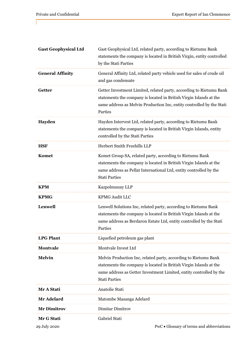| <b>Gast Geophysical Ltd</b> | Gast Geophysical Ltd, related party, according to Rietumu Bank<br>statements the company is located in British Virgin, entity controlled                                                                                             |
|-----------------------------|--------------------------------------------------------------------------------------------------------------------------------------------------------------------------------------------------------------------------------------|
|                             | by the Stati Parties                                                                                                                                                                                                                 |
| <b>General Affinity</b>     | General Affinity Ltd, related party vehicle used for sales of crude oil<br>and gas condensate                                                                                                                                        |
| <b>Getter</b>               | Getter Investment Limited, related party, according to Rietumu Bank<br>statements the company is located in British Virgin Islands at the<br>same address as Melvin Production Inc, entity controlled by the Stati<br>Parties        |
| Hayden                      | Hayden Intervest Ltd, related party, according to Rietumu Bank<br>statements the company is located in British Virgin Islands, entity<br>controlled by the Stati Parties                                                             |
| <b>HSF</b>                  | Herbert Smith Freehills LLP                                                                                                                                                                                                          |
| Komet                       | Komet Group SA, related party, according to Rietumu Bank<br>statements the company is located in British Virgin Islands at the<br>same address as Pellat International Ltd, entity controlled by the<br><b>Stati Parties</b>         |
| <b>KPM</b>                  | Kazpolmunay LLP                                                                                                                                                                                                                      |
| <b>KPMG</b>                 | <b>KPMG Audit LLC</b>                                                                                                                                                                                                                |
| Lenwell                     | Lenwell Solutions Inc, related party, according to Rietumu Bank<br>statements the company is located in British Virgin Islands at the<br>same address as Berdaron Estate Ltd, entity controlled by the Stati<br>Parties              |
| <b>LPG Plant</b>            | Liquefied petroleum gas plant                                                                                                                                                                                                        |
| <b>Montvale</b>             | Montvale Invest Ltd                                                                                                                                                                                                                  |
| <b>Melvin</b>               | Melvin Production Inc, related party, according to Rietumu Bank<br>statements the company is located in British Virgin Islands at the<br>same address as Getter Investment Limited, entity controlled by the<br><b>Stati Parties</b> |
| Mr A Stati                  | Anatolie Stati                                                                                                                                                                                                                       |
| Mr Adelard                  | Matombe Masanga Adelard                                                                                                                                                                                                              |
| <b>Mr Dimitrov</b>          | Dimitar Dimitrov                                                                                                                                                                                                                     |
| Mr G Stati                  | Gabriel Stati                                                                                                                                                                                                                        |
| 29 July 2020                | PwC • Glossary of terms and abbreviations                                                                                                                                                                                            |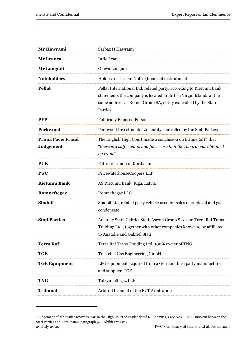| Mr Hawrami                            | Sarbaz H Hawrami                                                                                                                                                                                                      |
|---------------------------------------|-----------------------------------------------------------------------------------------------------------------------------------------------------------------------------------------------------------------------|
| Mr Leanca                             | Iurie Leanca                                                                                                                                                                                                          |
| Mr Lungudi                            | Olowa Lungudi                                                                                                                                                                                                         |
| <b>Noteholders</b>                    | Holders of Tristan Notes (financial institutions)                                                                                                                                                                     |
| <b>Pellat</b>                         | Pellat International Ltd, related party, according to Rietumu Bank<br>statements the company is located in British Virgin Islands at the<br>same address as Komet Group SA, entity controlled by the Stati<br>Parties |
| <b>PEP</b>                            | <b>Politically Exposed Persons</b>                                                                                                                                                                                    |
| Perkwood                              | Perkwood Investments Ltd, entity controlled by the Stati Parties                                                                                                                                                      |
| Prima Facie Fraud<br><b>Judgement</b> | The English High Court made a conclusion on 6 June 2017 that<br>"there is a sufficient prima facie case that the Award was obtained<br>by fraud" <sup>2</sup>                                                         |
| <b>PUK</b>                            | Patriotic Union of Kurdistan                                                                                                                                                                                          |
| PwC                                   | PricewaterhouseCoopers LLP                                                                                                                                                                                            |
| <b>Rietumu Bank</b>                   | AS Rietumu Bank, Riga, Latvia                                                                                                                                                                                         |
| Romneftegaz                           | Romneftegaz LLC                                                                                                                                                                                                       |
| <b>Stadoil</b>                        | Stadoil Ltd, related party vehicle used for sales of crude oil and gas<br>condensate                                                                                                                                  |
| <b>Stati Parties</b>                  | Anatolie Stati, Gabriel Stati, Ascom Group S.A. and Terra Raf Trans<br>Traiding Ltd., together with other companies known to be affiliated<br>to Anatolie and Gabriel Stati                                           |
| <b>Terra Raf</b>                      | Terra Raf Trans Traiding Ltd, 100% owner of TNG                                                                                                                                                                       |
| <b>TGE</b>                            | <b>Tractebel Gas Engineering GmbH</b>                                                                                                                                                                                 |
| <b>TGE Equipment</b>                  | LPG equipment acquired from a German third party manufacturer<br>and supplier, TGE                                                                                                                                    |
| <b>TNG</b>                            | Tolkynneftegaz LLP                                                                                                                                                                                                    |
| <b>Tribunal</b>                       | Arbitral tribunal in the ECT Arbitration                                                                                                                                                                              |

<sup>29</sup> July 2020 PwC  $\bullet$  Glossary of terms and abbreviations 2 Judgement of Mr Justice Knowles CBE in the High Court of Justice dated 6 June 2017, Case No CL-2014-000070 between the Stati Parties and Kazakhstan, paragraph 92. Exhibit PwC-012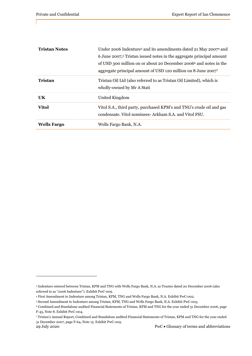| <b>Tristan Notes</b> | Under 2006 Indenture <sup>3</sup> and its amendments dated 21 May 2007 <sup>4</sup> and                                       |
|----------------------|-------------------------------------------------------------------------------------------------------------------------------|
|                      | 6 June 2007, <sup>5</sup> Tristan issued notes in the aggregate principal amount                                              |
|                      | of USD 300 million on or about 20 December 2006 <sup>6</sup> and notes in the                                                 |
|                      | aggregate principal amount of USD 120 million on 8 June 2007                                                                  |
| <b>Tristan</b>       | Tristan Oil Ltd (also referred to as Tristan Oil Limited), which is<br>wholly-owned by Mr A Stati                             |
| <b>UK</b>            | United Kingdom                                                                                                                |
| <b>Vitol</b>         | Vitol S.A., third party, purchased KPM's and TNG's crude oil and gas<br>condensate. Vitol nominees-Arkham S.A. and Vitol FSU. |
| <b>Wells Fargo</b>   | Wells Fargo Bank, N.A.                                                                                                        |

<sup>3</sup> Indenture entered between Tristan, KPM and TNG with Wells Fargo Bank, N.A. as Trustee dated 20 December 2006 (also referred to as "2006 Indenture"). Exhibit PwC-009.

<sup>4</sup> First Amendment to Indenture among Tristan, KPM, TNG and Wells Fargo Bank, N.A. Exhibit PwC-002.

<sup>5</sup> Second Amendment to Indenture among Tristan, KPM, TNG and Wells Fargo Bank, N.A. Exhibit PwC-003.

<sup>6</sup> Combined and Standalone audited Financial Statements of Tristan, KPM and TNG for the year ended 31 December 2006, page F-45, Note 8. Exhibit PwC-004.

<sup>7</sup> Tristan's Annual Report, Combined and Standalone audited Financial Statements of Tristan, KPM and TNG for the year ended 31 December 2007, page F-64, Note 15. Exhibit PwC-005.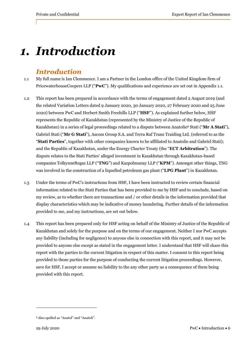# *1. Introduction*

# *Introduction*

- 1.1 My full name is Ian Clemmence. I am a Partner in the London office of the United Kingdom firm of PricewaterhouseCoopers LLP ("**PwC**"). My qualifications and experience are set out in Appendix 1.1.
- 1.2 This report has been prepared in accordance with the terms of engagement dated 2 August 2019 (and the related Variation Letters dated 9 January 2020, 30 January 2020, 27 February 2020 and 25 June 2020) between PwC and Herbert Smith Freehills LLP ("**HSF**"). As explained further below, HSF represents the Republic of Kazakhstan (represented by the Ministry of Justice of the Republic of Kazakhstan) in a series of legal proceedings related to a dispute between Anatolie8 Stati ("**Mr A Stati**"), Gabriel Stati ("**Mr G Stati**"), Ascom Group S.A. and Terra Raf Trans Traiding Ltd. (referred to as the "**Stati Parties**", together with other companies known to be affiliated to Anatolie and Gabriel Stati); and the Republic of Kazakhstan, under the Energy Charter Treaty (the "**ECT Arbitration**"). The dispute relates to the Stati Parties' alleged investment in Kazakhstan through Kazakhstan-based companies Tolkynneftegaz LLP ("**TNG**") and Kazpolmunay LLP ("**KPM**"). Amongst other things, TNG was involved in the construction of a liquefied petroleum gas plant ("**LPG Plant**") in Kazakhstan.
- 1.3 Under the terms of PwC's instructions from HSF, I have been instructed to review certain financial information related to the Stati Parties that has been provided to me by HSF and to conclude, based on my review, as to whether there are transactions and / or other details in the information provided that display characteristics which may be indicative of money laundering. Further details of the information provided to me, and my instructions, are set out below.
- 1.4 This report has been prepared only for HSF acting on behalf of the Ministry of Justice of the Republic of Kazakhstan and solely for the purpose and on the terms of our engagement. Neither I nor PwC accepts any liability (including for negligence) to anyone else in connection with this report, and it may not be provided to anyone else except as stated in the engagement letter. I understand that HSF will share this report with the parties to the current litigation in respect of this matter. I consent to this report being provided to those parties for the purpose of conducting the current litigation proceedings. However, save for HSF, I accept or assume no liability to the any other party as a consequence of them being provided with this report.

<sup>8</sup> Also spelled as "Anatol" and "Anatoli".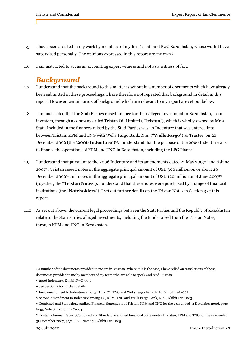- 1.5 I have been assisted in my work by members of my firm's staff and PwC Kazakhstan, whose work I have supervised personally. The opinions expressed in this report are my own.9
- 1.6 I am instructed to act as an accounting expert witness and not as a witness of fact.

## *Background*

- 1.7 I understand that the background to this matter is set out in a number of documents which have already been submitted in these proceedings. I have therefore not repeated that background in detail in this report. However, certain areas of background which are relevant to my report are set out below.
- 1.8 I am instructed that the Stati Parties raised finance for their alleged investment in Kazakhstan, from investors, through a company called Tristan Oil Limited ("**Tristan**"), which is wholly-owned by Mr A Stati. Included in the finances raised by the Stati Parties was an Indenture that was entered into between Tristan, KPM and TNG with Wells Fargo Bank, N.A. ("**Wells Fargo**") as Trustee, on 20 December 2006 (the "**2006 Indenture**")10. I understand that the purpose of the 2006 Indenture was to finance the operations of KPM and TNG in Kazakhstan, including the LPG Plant.<sup>11</sup>
- 1.9 I understand that pursuant to the 2006 Indenture and its amendments dated 21 May 200712 and 6 June 200713, Tristan issued notes in the aggregate principal amount of USD 300 million on or about 20 December 2006<sup>14</sup> and notes in the aggregate principal amount of USD 120 million on 8 June 2007<sup>15</sup> (together, the "**Tristan Notes**"). I understand that these notes were purchased by a range of financial institutions (the "**Noteholders**"). I set out further details on the Tristan Notes in Section 3 of this report.
- 1.10 As set out above, the current legal proceedings between the Stati Parties and the Republic of Kazakhstan relate to the Stati Parties alleged investments, including the funds raised from the Tristan Notes, through KPM and TNG in Kazakhstan.

<sup>9</sup> A number of the documents provided to me are in Russian. Where this is the case, I have relied on translations of those documents provided to me by members of my team who are able to speak and read Russian.

<sup>10 2006</sup> Indenture, Exhibit PwC-009.

<sup>&</sup>lt;sup>11</sup> See Section 3 for further details.

<sup>12</sup> First Amendment to Indenture among TO, KPM, TNG and Wells Fargo Bank, N.A. Exhibit PwC-002.

<sup>13</sup> Second Amendment to Indenture among TO, KPM, TNG and Wells Fargo Bank, N.A. Exhibit PwC-003.

<sup>14</sup> Combined and Standalone audited Financial Statements of Tristan, KPM and TNG for the year ended 31 December 2006, page F-45, Note 8. Exhibit PwC-004.

<sup>15</sup> Tristan's Annual Report, Combined and Standalone audited Financial Statements of Tristan, KPM and TNG for the year ended 31 December 2007, page F-64, Note 15. Exhibit PwC-005.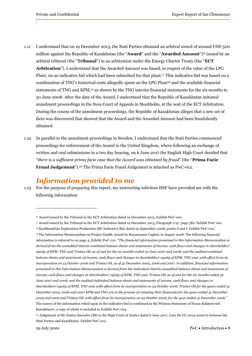- 1.11 I understand that on 19 December 2013, the Stati Parties obtained an arbitral award of around USD 500 million against the Republic of Kazakhstan (the "**Award**" and the "**Awarded Amount**")16 issued by an arbitral tribunal (the "**Tribunal**") in an arbitration under the Energy Charter Treaty (the "**ECT Arbitration**"). I understand that the Awarded Amount was based, in respect of the value of the LPG Plant, on an indicative bid which had been submitted for that plant.<sup>17</sup> This indicative bid was based on a combination of TNG's historical costs allegedly spent on the LPG Plant<sup>18</sup> and the available financial statements of TNG and KPM,19 as shown by the TNG interim financial statements for the six months to 30 June 2008. After the date of the Award, I understand that the Republic of Kazakhstan initiated annulment proceedings in the Svea Court of Appeals in Stockholm, at the seat of the ECT Arbitration. During the course of the annulment proceedings, the Republic of Kazakhstan alleges that a new set of facts was discovered that showed that the Award and the Awarded Amount had been fraudulently obtained.
- 1.12 In parallel to the annulment proceedings in Sweden, I understand that the Stati Parties commenced proceedings for enforcement of the Award in the United Kingdom, where following an exchange of written and oral submissions in a two day hearing, on 6 June 2017 the English High Court decided that "*there is a sufficient prima facie case that the Award was obtained by fraud*" (the "**Prima Facie Fraud Judgement**").20 The Prima Facie Fraud Judgement is attached as PwC-012.

## *Information provided to me*

1.13 For the purpose of preparing this report, my instructing solicitors HSF have provided me with the following information:

<sup>16</sup> Award issued by the Tribunal in the ECT Arbitration dated 19 December 2013. Exhibit PwC-001.

<sup>17</sup> Award issued by the Tribunal in the ECT Arbitration dated 19 December 2013, Paragraph 1747, page 382. Exhibit PwC-001.

<sup>18</sup> KazMunaiGas Exploration Production JSC Indicative Bid, dated 25 September 2008, points d and f. Exhibit PwC-010. 19 The Information Memorandum on Project Zenith, issued by Renaissance Capital, in August 2008. The following financial information is referred to on page 4, Exhibit PwC-011: "*The financial information presented in this Information Memorandum is derived from the unaudited interim combined balance sheets and statements of income, cash flows and changes in shareholders' equity of KPM, TNG and Tristan Oil, as of and for the six months ended 30 June 2007 and 2008, and the audited combined balance sheets and statements of income, cash flows and changes in shareholders' equity of KPM, TNG and, with effect from its incorporation on 24 October 2006 and Tristan Oil, as of 31 December 2005, 2006 and 2007. In addition, financial information presented in this Information Memorandum is derived from the individual interim unaudited balance sheets and statements of income, cash flows and changes in shareholders' equity of KPM, TNG and, Tristan Oil, as of and for the six months ended 30 June 2007 and 2008, and the audited individual balance sheets and statements of income, cash flows and changes in shareholders' equity of KPM, TNG and, with effect from its incorporation on 24 October 2006, Tristan Oil for the years ended 31 December 2005, 2006 and 2007 KPM and TNG are in the process of restating their financials for the years ended 31 December 2005 and 2006 and Tristan Oil, with effect from its incorporation on 24 October 2006, for the year ended 31 December 2006."*  The source of the information relied upon in the indicative bid is confirmed in the Witness Statement of Nuran Bakhytovich Kairakbayev, a copy of which is included in Exhibit PwC-014.

<sup>20</sup> Judgement of Mr Justice Knowles CBE in the High Court of Justice dated 6 June 2017, Case No CL-2014-000070 between the Stati Parties and Kazakhstan. Exhibit PwC-012.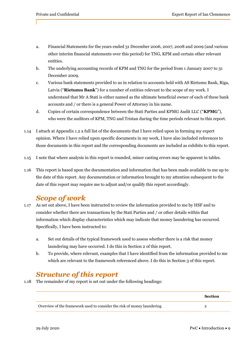- a. Financial Statements for the years ended 31 December 2006, 2007, 2008 and 2009 (and various other interim financial statements over this period) for TNG, KPM and certain other relevant entities.
- b. The underlying accounting records of KPM and TNG for the period from 1 January 2007 to 31 December 2009.
- c. Various bank statements provided to us in relation to accounts held with AS Rietumu Bank, Riga, Latvia ("**Rietumu Bank**") for a number of entities relevant to the scope of my work. I understand that Mr A Stati is either named as the ultimate beneficial owner of each of these bank accounts and / or there is a general Power of Attorney in his name.
- d. Copies of certain correspondence between the Stati Parties and KPMG Audit LLC ("**KPMG**"), who were the auditors of KPM, TNG and Tristan during the time periods relevant to this report.
- 1.14 I attach at Appendix 1.2 a full list of the documents that I have relied upon in forming my expert opinion. Where I have relied upon specific documents in my work, I have also included references to those documents in this report and the corresponding documents are included as exhibits to this report.
- 1.15 I note that where analysis in this report is rounded, minor casting errors may be apparent in tables.
- 1.16 This report is based upon the documentation and information that has been made available to me up to the date of this report. Any documentation or information brought to my attention subsequent to the date of this report may require me to adjust and/or qualify this report accordingly.

# *Scope of work*

- 1.17 As set out above, I have been instructed to review the information provided to me by HSF and to consider whether there are transactions by the Stati Parties and / or other details within that information which display characteristics which may indicate that money laundering has occurred. Specifically, I have been instructed to:
	- a. Set out details of the typical framework used to assess whether there is a risk that money laundering may have occurred. I do this in Section 2 of this report.
	- b. To provide, where relevant, examples that I have identified from the information provided to me which are relevant to the framework referenced above. I do this in Section 3 of this report.

# *Structure of this report*

1.18 The remainder of my report is set out under the following headings:

|                                                                         | <b>Section</b> |
|-------------------------------------------------------------------------|----------------|
| Overview of the framework used to consider the risk of money laundering |                |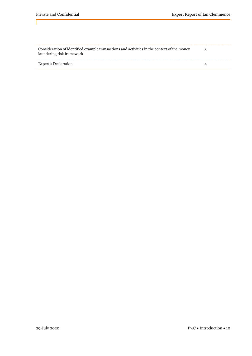| Consideration of identified example transactions and activities in the context of the money<br>laundering risk framework |  |
|--------------------------------------------------------------------------------------------------------------------------|--|
| Expert's Declaration                                                                                                     |  |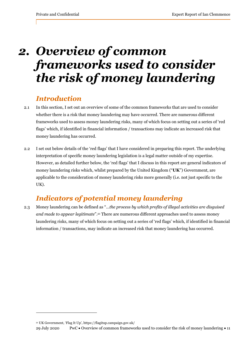# *2. Overview of common frameworks used to consider the risk of money laundering*

## *Introduction*

- 2.1 In this section, I set out an overview of some of the common frameworks that are used to consider whether there is a risk that money laundering may have occurred. There are numerous different frameworks used to assess money laundering risks, many of which focus on setting out a series of 'red flags' which, if identified in financial information / transactions may indicate an increased risk that money laundering has occurred.
- 2.2 I set out below details of the 'red flags' that I have considered in preparing this report. The underlying interpretation of specific money laundering legislation is a legal matter outside of my expertise. However, as detailed further below, the 'red flags' that I discuss in this report are general indicators of money laundering risks which, whilst prepared by the United Kingdom ("**UK**") Government, are applicable to the consideration of money laundering risks more generally (i.e. not just specific to the UK).

# *Indicators of potential money laundering*

2.3 Money laundering can be defined as "…*the process by which profits of illegal activities are disguised and made to appear legitimate*".21 There are numerous different approaches used to assess money laundering risks, many of which focus on setting out a series of 'red flags' which, if identified in financial information / transactions, may indicate an increased risk that money laundering has occurred.

<sup>21</sup> UK Government, 'Flag It Up', https://flagitup.campaign.gov.uk/

<sup>29</sup> July 2020 PwC  $\bullet$  Overview of common frameworks used to consider the risk of money laundering  $\bullet$  11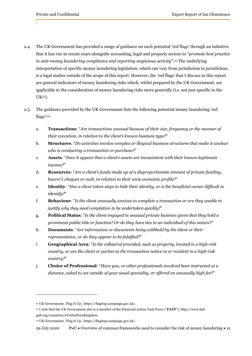- 2.4 The UK Government has provided a range of guidance on such potential 'red flags' through an initiative that it has run in recent years alongside accounting, legal and property sectors to "*promote best practice in anti-money laundering compliance and reporting suspicious activity*".22 The underlying interpretation of specific money laundering legislation, which can vary from jurisdiction to jurisdiction, is a legal matter outside of the scope of this report. However, the 'red flags' that I discuss in this report are general indicators of money laundering risks which, whilst prepared by the UK Government, are applicable to the consideration of money laundering risks more generally (i.e. not just specific to the UK23).
- 2.5 The guidance provided by the UK Government lists the following potential money laundering 'red flags':24
	- a. **Transactions**: "*Are transactions unusual because of their size, frequency or the manner of their execution, in relation to the client's known business type?*"
	- b. **Structures**: "*Do activities involve complex or illogical business structures that make it unclear who is conducting a transaction or purchase?*"
	- c. **Assets**: "*Does it appear that a client's assets are inconsistent with their known legitimate income?*"
	- d. **Resources**: "*Are a client's funds made up of a disproportionate amount of private funding, bearer's cheques or cash, in relation to their socio economic profile?*"
	- e. **Identity**: "*Has a client taken steps to hide their identity, or is the beneficial owner difficult to identify?*"
	- f. **Behaviour**: "*Is the client unusually anxious to complete a transaction or are they unable to justify why they need completion to be undertaken quickly?*"
	- g. **Political Status**: "*Is the client engaged in unusual private business given that they hold a prominent public title or function? Or do they have ties to an individual of this nature?*"
	- h. **Documents**: "*Are information or documents being withheld by the client or their representative, or do they appear to be falsified?*"
	- i. **Geographical Area**: "*Is the collateral provided, such as property, located in a high-risk country, or are the client or parties to the transaction native to or resident in a high-risk country?*"
	- j. **Choice of Professional**: "*Have you, or other professionals involved been instructed at a distance, asked to act outside of your usual speciality, or offered an unusually high fee?*"

<sup>22</sup> UK Government, 'Flag It Up', https://flagitup.campaign.gov.uk/.

<sup>23</sup> I note that the UK Government also is a member of the Financial Action Task Force ("**FATF**"), http://www.fatfgafi.org/countries/#United%20Kingdom.

<sup>24</sup> UK Government, 'Flag It Up', https://flagitup.campaign.gov.uk/.

<sup>29</sup> July 2020 PwC • Overview of common frameworks used to consider the risk of money laundering • 12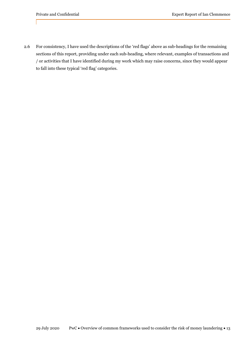2.6 For consistency, I have used the descriptions of the 'red flags' above as sub-headings for the remaining sections of this report, providing under each sub-heading, where relevant, examples of transactions and / or activities that I have identified during my work which may raise concerns, since they would appear to fall into these typical 'red flag' categories.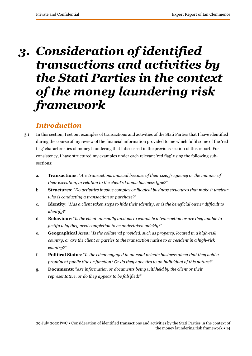# *3. Consideration of identified transactions and activities by the Stati Parties in the context of the money laundering risk framework*

## *Introduction*

- 3.1 In this section, I set out examples of transactions and activities of the Stati Parties that I have identified during the course of my review of the financial information provided to me which fulfil some of the 'red flag' characteristics of money laundering that I discussed in the previous section of this report. For consistency, I have structured my examples under each relevant 'red flag' using the following subsections:
	- a. **Transactions**: "*Are transactions unusual because of their size, frequency or the manner of their execution, in relation to the client's known business type?*"
	- b. **Structures**: "*Do activities involve complex or illogical business structures that make it unclear who is conducting a transaction or purchase?*"
	- c. **Identity**: "*Has a client taken steps to hide their identity, or is the beneficial owner difficult to identify?*"
	- d. **Behaviour**: "*Is the client unusually anxious to complete a transaction or are they unable to justify why they need completion to be undertaken quickly?*"
	- e. **Geographical Area**: "*Is the collateral provided, such as property, located in a high-risk country, or are the client or parties to the transaction native to or resident in a high-risk country?*"
	- f. **Political Status**: "*Is the client engaged in unusual private business given that they hold a prominent public title or function? Or do they have ties to an individual of this nature?*"
	- g. **Documents**: "*Are information or documents being withheld by the client or their representative, or do they appear to be falsified?*"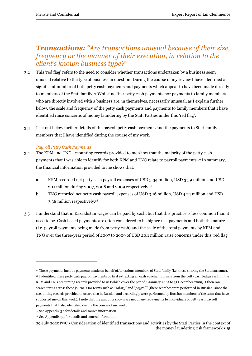# *Transactions: "Are transactions unusual because of their size, frequency or the manner of their execution, in relation to the client's known business type?"*

- 3.2 This 'red flag' refers to the need to consider whether transactions undertaken by a business seem unusual relative to the type of business in question. During the course of my review I have identified a significant number of both petty cash payments and payments which appear to have been made directly to members of the Stati family.25 Whilst neither petty cash payments nor payments to family members who are directly involved with a business are, in themselves, necessarily unusual, as I explain further below, the scale and frequency of the petty cash payments and payments to family members that I have identified raise concerns of money laundering by the Stati Parties under this 'red flag'.
- 3.3 I set out below further details of the payroll petty cash payments and the payments to Stati family members that I have identified during the course of my work.

## *Payroll Petty Cash Payments*

- 3.4 The KPM and TNG accounting records provided to me show that the majority of the petty cash payments that I was able to identify for both KPM and TNG relate to payroll payments.26 In summary, the financial information provided to me shows that:
	- a. KPM recorded net petty cash payroll expenses of USD 3.34 million, USD 3.39 million and USD 2.11 million during 2007, 2008 and 2009 respectively.27
	- b. TNG recorded net petty cash payroll expenses of USD 3.16 million, USD 4.74 million and USD 3.38 million respectively.28
- 3.5 I understand that in Kazakhstan wages can be paid by cash, but that this practice is less common than it used to be. Cash based payments are often considered to be higher risk payments and both the nature (i.e. payroll payments being made from petty cash) and the scale of the total payments by KPM and TNG over the three-year period of 2007 to 2009 of USD 20.1 million raise concerns under this 'red flag'.

<sup>25</sup> These payments include payments made on behalf of/to various members of Stati family (i.e. those sharing the Stati surname).

<sup>26</sup> I identified these petty cash payroll payments by first extracting all cash voucher journals from the petty cash ledgers within the KPM and TNG accounting records provided to us (which cover the period 1 January 2007 to 31 December 2009). I then ran search terms across these journals for terms such as "salary" and "payroll" (these searches were performed in Russian, since the accounting records provided to us are also in Russian and accordingly were performed by Russian members of the team that have supported me on this work). I note that the amounts shown are net of any repayments by individuals of petty cash payroll payments that I also identified during the course of my work.

<sup>27</sup> See Appendix 3.1 for details and source information.

<sup>28</sup> See Appendix 3.1 for details and source information.

<sup>29</sup> July 2020 PwC Consideration of identified transactions and activities by the Stati Parties in the context of the money laundering risk framework  $\cdot$  15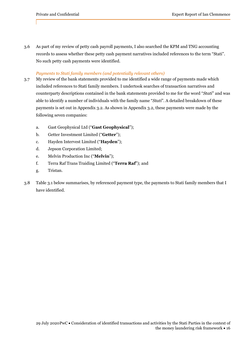3.6 As part of my review of petty cash payroll payments, I also searched the KPM and TNG accounting records to assess whether these petty cash payment narratives included references to the term "Stati". No such petty cash payments were identified.

### *Payments to Stati family members (and potentially relevant others)*

- 3.7 My review of the bank statements provided to me identified a wide range of payments made which included references to Stati family members. I undertook searches of transaction narratives and counterparty descriptions contained in the bank statements provided to me for the word "*Stati*" and was able to identify a number of individuals with the family name "*Stati*". A detailed breakdown of these payments is set out in Appendix 3.2. As shown in Appendix 3.2, these payments were made by the following seven companies:
	- a. Gast Geophysical Ltd ("**Gast Geophysical**");
	- b. Getter Investment Limited ("**Getter**");
	- c. Hayden Intervest Limited ("**Hayden**");
	- d. Jepson Corporation Limited;
	- e. Melvin Production Inc ("**Melvin**");
	- f. Terra Raf Trans Traiding Limited ("**Terra Raf**"); and
	- g. Tristan.
- 3.8 Table 3.1 below summarises, by referenced payment type, the payments to Stati family members that I have identified.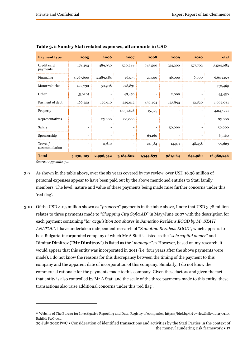| <b>Payment type</b>                 | 2005                     | 2006                     | 2007                     | 2008                     | 2009                     | 2010                     | <b>Total</b> |
|-------------------------------------|--------------------------|--------------------------|--------------------------|--------------------------|--------------------------|--------------------------|--------------|
| Credit card<br>payments             | 178,463                  | 489,930                  | 520,288                  | 983,500                  | 754,200                  | 577,702                  | 3,504,083    |
| Financing                           | 4,267,600                | 2,289,484                | 16,575                   | 27,500                   | 36,000                   | 6,000                    | 6,643,159    |
| Motor vehicles                      | 422,730                  | 50,908                   | 278,831                  | $\overline{\phantom{a}}$ |                          | $\overline{\phantom{a}}$ | 752,469      |
| Other                               | (5,020)                  |                          | 48,470                   | -                        | 2,000                    | $\overline{\phantom{a}}$ | 45,450       |
| Payment of debt                     | 166,252                  | 129,610                  | 229,012                  | 430,494                  | 123,893                  | 12,820                   | 1,092,081    |
| Property                            | $\overline{\phantom{a}}$ | $\overline{\phantom{a}}$ | 4,031,626                | 15,595                   | $\overline{\phantom{a}}$ | $\overline{\phantom{a}}$ | 4,047,221    |
| Representatives                     | $\overline{\phantom{0}}$ | 25,000                   | 60,000                   | $\overline{\phantom{a}}$ |                          | $\overline{\phantom{a}}$ | 85,000       |
| Salary                              | $\overline{\phantom{a}}$ | $\overline{\phantom{a}}$ | $\overline{\phantom{a}}$ | $\overline{\phantom{a}}$ | 50,000                   | $\overline{\phantom{a}}$ | 50,000       |
| Sponsorship                         | $\overline{\phantom{a}}$ |                          | $\overline{\phantom{a}}$ | 63,160                   |                          | $\overline{\phantom{a}}$ | 63,160       |
| Travel /<br>accommodation           | $\overline{\phantom{a}}$ | 11,610                   | $\overline{\phantom{a}}$ | 24,584                   | 14,971                   | 48,458                   | 99,623       |
| <b>Total</b><br>Course Annondir a a | 5,030,025                | 2,996,542                | 5,184,802                | 1,544,833                | 981,064                  | 644,980                  | 16,382,246   |

### **Table 3.1: Sundry Stati related expenses, all amounts in USD**

*Source: Appendix 3.2.* 

- 3.9 As shown in the table above, over the six years covered by my review, over USD 16.38 million of personal expenses appear to have been paid out by the above mentioned entities to Stati family members. The level, nature and value of these payments being made raise further concerns under this 'red flag'.
- 3.10 Of the USD 4.05 million shown as "*property*" payments in the table above, I note that USD 3.78 million relates to three payments made to "*Shopping City Sofia AD*" in May/June 2007 with the description for each payment containing "f*or acquisition 100 shares in Samotino Rezidens EOOD by Mr.STATI ANATOL*". I have undertaken independent research of "*Samotino Rezidens EOOD*", which appears to be a Bulgaria-incorporated company of which Mr A Stati is listed as the "*sole capital owner*" and Dimitar Dimitrov ("**Mr Dimitrov**") is listed as the "*manager*".29 However, based on my research, it would appear that this entity was incorporated in 2011 (i.e. four years after the above payments were made). I do not know the reasons for this discrepancy between the timing of the payment to this company and the apparent date of incorporation of this company. Similarly, I do not know the commercial rationale for the payments made to this company. Given these factors and given the fact that entity is also controlled by Mr A Stati and the scale of the three payments made to this entity, these transactions also raise additional concerns under this 'red flag'.

<sup>29</sup> Website of The Bureau for Investigative Reporting and Data, Registry of companies, https://bird.bg/tr?v=view&eik=175270110, Exhibit PwC-047.

<sup>29</sup> July 2020 PwC Consideration of identified transactions and activities by the Stati Parties in the context of the money laundering risk framework  $\bullet$  17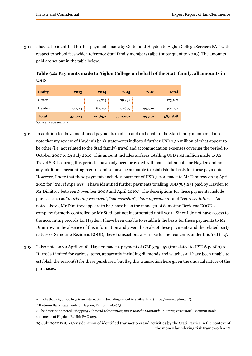3.11 I have also identified further payments made by Getter and Hayden to Aiglon College Services SA30 with respect to school fees which reference Stati family members (albeit subsequent to 2010). The amounts paid are set out in the table below.

**Table 3.2: Payments made to Aiglon College on behalf of the Stati family, all amounts in USD** 

| <b>Entity</b> | 2013                     | 2014    | 2015    | 2016                     | <b>Total</b> |
|---------------|--------------------------|---------|---------|--------------------------|--------------|
| Getter        | $\overline{\phantom{0}}$ | 33,715  | 89,392  | $\overline{\phantom{0}}$ | 123,107      |
| Hayden        | 33,924                   | 87,937  | 239,609 | 99,301-                  | 460,771      |
| <b>Total</b>  | 33,924                   | 121,652 | 329,001 | 99,301                   | 583,878      |

*Source: Appendix 3.2.* 

- 3.12 In addition to above mentioned payments made to and on behalf to the Stati family members, I also note that my review of Hayden's bank statements indicated further USD 1.59 million of what appear to be other (i.e. not related to the Stati family) travel and accommodation expenses covering the period 16 October 2007 to 29 July 2010. This amount includes airfares totalling USD 1.42 million made to AS Travel S.R.L. during this period. I have only been provided with bank statements for Hayden and not any additional accounting records and so have been unable to establish the basis for these payments. However, I note that these payments include a payment of USD 5,000 made to Mr Dimitrov on 19 April 2010 for "*travel expenses*". I have identified further payments totalling USD 765,831 paid by Hayden to Mr Dimitrov between November 2008 and April 2010.31 The descriptions for these payments include phrases such as "*marketing research*", "*sponsorship*", "*loan agreement*" and "*representatives*". As noted above, Mr Dimitrov appears to be / have been the manager of Samotino Rezidens EOOD, a company formerly controlled by Mr Stati, but not incorporated until 2011. Since I do not have access to the accounting records for Hayden, I have been unable to establish the basis for these payments to Mr Dimitrov. In the absence of this information and given the scale of these payments and the related party nature of Samotino Rezidens EOOD, these transactions also raise further concerns under this 'red flag'.
- 3.13 I also note on 29 April 2008, Hayden made a payment of GBP 325,457 (translated to USD 642,680) to Harrods Limited for various items, apparently including diamonds and watches.32 I have been unable to establish the reason(s) for these purchases, but flag this transaction here given the unusual nature of the purchases.

<sup>30</sup> I note that Aiglon College is an international boarding school in Switzerland (https://www.aiglon.ch/).

<sup>31</sup> Rietumu Bank statements of Hayden, Exhibit PwC-023.

<sup>32</sup> The description noted "*shopping Diamonds decoration; wrist-watch; Diamonds H. Stern; Extension*". Rietumu Bank statements of Hayden, Exhibit PwC-023.

<sup>29</sup> July 2020 PwC Consideration of identified transactions and activities by the Stati Parties in the context of the money laundering risk framework  $\cdot$  18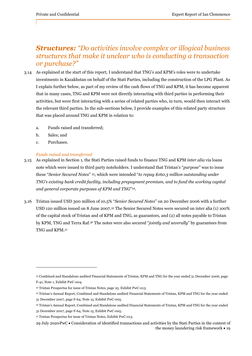# *Structures: "Do activities involve complex or illogical business structures that make it unclear who is conducting a transaction or purchase?"*

- 3.14 As explained at the start of this report, I understand that TNG's and KPM's roles were to undertake investments in Kazakhstan on behalf of the Stati Parties, including the construction of the LPG Plant. As I explain further below, as part of my review of the cash flows of TNG and KPM, it has become apparent that in many cases, TNG and KPM were not directly interacting with third parties in performing their activities, but were first interacting with a series of related parties who, in turn, would then interact with the relevant third parties. In the sub-sections below, I provide examples of this related party structure that was placed around TNG and KPM in relation to:
	- a. Funds raised and transferred;
	- b. Sales; and
	- c. Purchases.

## *Funds raised and transferred*

- 3.15 As explained in Section 1, the Stati Parties raised funds to finance TNG and KPM *inter alia* via loans note which were issued to third party noteholders. I understand that Tristan's "*purpose*" was to issue these "*Senior Secured Notes*" 33, which were intended "*to repay \$160.3 million outstanding under TNG's existing bank credit facility, including prepayment premium, and to fund the working capital and general corporate purposes of KPM and TNG*"34.
- 3.16 Tristan issued USD 300 million of 10.5% "*Senior Secured Notes*" on 20 December 2006 with a further USD 120 million issued on 8 June 2007.35 The Senior Secured Notes were secured on inter alia (1) 100% of the capital stock of Tristan and of KPM and TNG, as guarantors, and (2) all notes payable to Tristan by KPM, TNG and Terra Raf.36 The notes were also secured "*jointly and severally*" by guarantees from TNG and KPM.37

<sup>33</sup> Combined and Standalone audited Financial Statements of Tristan, KPM and TNG for the year ended 31 December 2006, page F-41, Note 1, Exhibit PwC-004.

<sup>34</sup> Tristan Prospectus for issue of Tristan Notes, page 25. Exhibit PwC-013.

<sup>35</sup> Tristan's Annual Report, Combined and Standalone audited Financial Statements of Tristan, KPM and TNG for the year ended 31 December 2007, page F-64, Note 15, Exhibit PwC-005.

<sup>36</sup> Tristan's Annual Report, Combined and Standalone audited Financial Statements of Tristan, KPM and TNG for the year ended

<sup>31</sup> December 2007, page F-64, Note 15, Exhibit PwC-005.

<sup>37</sup> Tristan Prospectus for issue of Tristan Notes, Exhibit PwC-013.

<sup>29</sup> July 2020 PwC Consideration of identified transactions and activities by the Stati Parties in the context of the money laundering risk framework • 19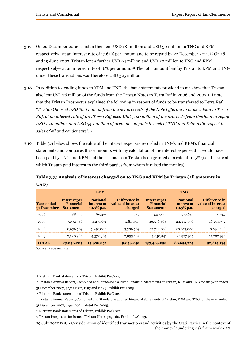- 3.17 On 22 December 2006, Tristan then lent USD 181 million and USD 30 million to TNG and KPM respectively38 at an interest rate of 17.65% per annum and to be repaid by 22 December 2011. 39 On 18 and 19 June 2007, Tristan lent a further USD 94 million and USD 20 million to TNG and KPM respectively40 at an interest rate of 16% per annum. 41 The total amount lent by Tristan to KPM and TNG under these transactions was therefore USD 325 million.
- 3.18 In addition to lending funds to KPM and TNG, the bank statements provided to me show that Tristan also lent USD 76 million of the funds from the Tristan Notes to Terra Raf in 2006 and 2007.42 I note that the Tristan Prospectus explained the following in respect of funds to be transferred to Terra Raf: "*Tristan Oil used USD 76.0 million from the net proceeds of the Note Offering to make a loan to Terra Raf, at an interest rate of 0%. Terra Raf used USD 70.0 million of the proceeds from this loan to repay USD 15.9 million and USD 54.1 million of accounts payable to each of TNG and KPM with respect to sales of oil and condensate".*<sup>43</sup>
- 3.19 Table 3.3 below shows the value of the interest expenses recorded in TNG's and KPM's financial statements and compares these amounts with my calculation of the interest expense that would have been paid by TNG and KPM had their loans from Tristan been granted at a rate of 10.5% (i.e. the rate at which Tristan paid interest to the third parties from whom it raised the monies).

## **Table 3.3: Analysis of interest charged on to TNG and KPM by Tristan (all amounts in USD)**

|                                  |                                                              | <b>KPM</b>                                      |                                               | <b>TNG</b>                                            |                                                 |                                               |  |
|----------------------------------|--------------------------------------------------------------|-------------------------------------------------|-----------------------------------------------|-------------------------------------------------------|-------------------------------------------------|-----------------------------------------------|--|
| <b>Year ended</b><br>31 December | <b>Interest per</b><br><b>Financial</b><br><b>Statements</b> | <b>Notional</b><br>interest at<br>$10.5\%$ p.a. | Difference in<br>value of interest<br>charged | <b>Interest per</b><br>Financial<br><b>Statements</b> | <b>Notional</b><br>interest at<br>$10.5\%$ p.a. | Difference in<br>value of interest<br>charged |  |
| 2006                             | 88,250                                                       | 86,301                                          | 1,949                                         | 532,442                                               | 520,685                                         | 11,757                                        |  |
| 2007                             | 7,092,986                                                    | 4,277,671                                       | 2,815,315                                     | 40,536,868                                            | 24,332,096                                      | 16,204,772                                    |  |
| 2008                             | 8,636,583                                                    | 5,250,000                                       | 3,386,583                                     | 47,769,608                                            | 28,875,000                                      | 18,894,608                                    |  |
| 2009                             | 7,228,386                                                    | 4,372,984                                       | 2,855,402                                     | 44,630,941                                            | 26,927,945                                      | 17,702,996                                    |  |
| <b>TOTAL</b>                     | 23,046,205                                                   | 13,986,957                                      | 9,059,248                                     | 133,469,859                                           | 80,655,725                                      | 52,814,134                                    |  |

*Source: Appendix 3.3* 

- 39 Tristan's Annual Report, Combined and Standalone audited Financial Statements of Tristan, KPM and TNG for the year ended
- 31 December 2007, pages F-62, F-97 and F-139. Exhibit PwC-005.
- 40 Rietumu Bank statements of Tristan, Exhibit PwC-027.
- 41 Tristan's Annual Report, Combined and Standalone audited Financial Statements of Tristan, KPM and TNG for the year ended

<sup>38</sup> Rietumu Bank statements of Tristan, Exhibit PwC-027.

<sup>31</sup> December 2007, page F-62. Exhibit PwC-005.

<sup>42</sup> Rietumu Bank statements of Tristan, Exhibit PwC-027.

<sup>43</sup> Tristan Prospectus for issue of Tristan Notes, page 60. Exhibit PwC-013.

<sup>29</sup> July 2020 PwC Consideration of identified transactions and activities by the Stati Parties in the context of the money laundering risk framework  $\bullet$  20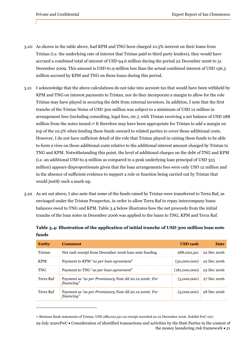- 3.20 As shown in the table above, had KPM and TNG been charged 10.5% interest on their loans from Tristan (i.e. the underlying rate of interest that Tristan paid to third party lenders), they would have accrued a combined total of interest of USD 94.6 million during the period 22 December 2006 to 31 December 2009. This amount is USD 61.9 million less than the actual combined interest of USD 156.5 million accrued by KPM and TNG on these loans during this period.
- 3.21 I acknowledge that the above calculations do not take into account tax that would have been withheld by KPM and TNG on interest payments to Tristan, nor do they incorporate a margin to allow for the role Tristan may have played in securing the debt from external investors. In addition, I note that the first tranche of the Tristan Notes of USD 300 million was subject to a minimum of USD 12 million in arrangement fees (including consulting, legal fees, etc.), with Tristan receiving a net balance of USD 288 million from the notes issued.44 It therefore may have been appropriate for Tristan to add a margin on top of the 10.5% when lending these funds onward to related parties to cover those additional costs. However, I do not have sufficient detail of the role that Tristan played in raising these funds to be able to form a view on those additional costs relative to the additional interest amount charged by Tristan to TNG and KPM. Notwithstanding this point, the level of additional charges on the debt of TNG and KPM (i.e. an additional USD 61.9 million as compared to a peak underlying loan principal of USD 325 million) appears disproportionate given that the loan arrangements fees were only USD 12 million and in the absence of sufficient evidence to support a role or function being carried out by Tristan that would justify such a mark-up.
- 3.22 As set out above, I also note that some of the funds raised by Tristan were transferred to Terra Raf, as envisaged under the Tristan Prospectus, in order to allow Terra Raf to repay intercompany loans balances owed to TNG and KPM. Table 3.4 below illustrates how the net proceeds from the initial tranche of the loan notes in December 2006 was applied to the loans to TNG, KPM and Terra Raf.

| <b>Entity</b> | <b>Comment</b>                                                      | <b>USD</b> cash | <b>Date</b> |
|---------------|---------------------------------------------------------------------|-----------------|-------------|
| Tristan       | Net cash receipt from December 2006 loan note funding               | 288,020,521     | 22 Dec 2006 |
| <b>KPM</b>    | Payment to KPM "as per loan agreement"                              | (30,000,000)    | 22 Dec 2006 |
| <b>TNG</b>    | Payment to TNG "as per loan agreement"                              | (181,000,000)   | 22 Dec 2006 |
| Terra Raf     | Payment as "as per Promissory Note dd 20.12.2006; For<br>financing" | (3,000,000)     | 27 Dec 2006 |
| Terra Raf     | Payment as "as per Promissory Note dd 20.12.2006; For<br>financing" | (3,000,000)     | 28 Dec 2006 |

**Table 3.4: Illustration of the application of initial tranche of USD 300 million loan note funds** 

<sup>44</sup> Rietumu Bank statements of Tristan: USD 288,020,521.02 receipt recorded on 22 December 2006. Exhibit PwC-027.

<sup>29</sup> July 2020 PwC Consideration of identified transactions and activities by the Stati Parties in the context of the money laundering risk framework  $\bullet$  21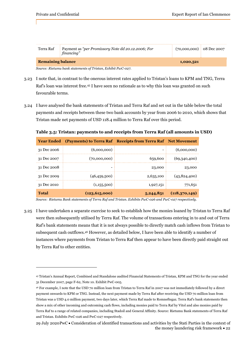| Terra Raf                | Payment as "per Promissory Note dd 20.12.2006; For<br>financing" | $(70,000,000)$ 08 Dec 2007 |  |
|--------------------------|------------------------------------------------------------------|----------------------------|--|
| <b>Remaining balance</b> |                                                                  | 1,020,521                  |  |

*Source: Rietumu bank statements of Tristan, Exhibit PwC-027.*

- 3.23 I note that, in contrast to the onerous interest rates applied to Tristan's loans to KPM and TNG, Terra Raf's loan was interest free.45 I have seen no rationale as to why this loan was granted on such favourable terms.
- 3.24 I have analysed the bank statements of Tristan and Terra Raf and set out in the table below the total payments and receipts between these two bank accounts by year from 2006 to 2010, which shows that Tristan made net payments of USD 118.4 million to Terra Raf over this period.

**Table 3.5: Tristan: payments to and receipts from Terra Raf (all amounts in USD)** 

| <b>Year Ended</b> | (Payments) to Terra Raf Receipts from Terra Raf Net Movement |           |                 |
|-------------------|--------------------------------------------------------------|-----------|-----------------|
| 31 Dec 2006       | (6,000,000)                                                  |           | (6,000,000)     |
| 31 Dec 2007       | (70,000,000)                                                 | 659,600   | (69, 340, 400)  |
| 31 Dec 2008       | -                                                            | 23,000    | 23,000          |
| 31 Dec 2009       | (46, 459, 500)                                               | 2,635,100 | (43,824,400)    |
| 31 Dec 2010       | (1,155,500)                                                  | 1,927,151 | 771,651         |
| Total             | (123, 615, 000)                                              | 5,244,851 | (118, 370, 149) |

*Source: Rietumu Bank statements of Terra Raf and Tristan. Exhibits PwC-026 and PwC-027 respectively.* 

3.25 I have undertaken a separate exercise to seek to establish how the monies loaned by Tristan to Terra Raf were then subsequently utilised by Terra Raf. The volume of transactions entering in to and out of Terra Raf's bank statements means that it is not always possible to directly match cash inflows from Tristan to subsequent cash outflows.46 However, as detailed below, I have been able to identify a number of instances where payments from Tristan to Terra Raf then appear to have been directly paid straight out by Terra Raf to other entities.

<sup>45</sup> Tristan's Annual Report, Combined and Standalone audited Financial Statements of Tristan, KPM and TNG for the year ended 31 December 2007, page F-62, Note 10. Exhibit PwC-005.

<sup>46</sup> For example, I note that the USD 70 million loan from Tristan to Terra Raf in 2007 was not immediately followed by a direct payment onwards to KPM or TNG. Instead, the next payment made by Terra Raf after receiving the USD 70 million loan from Tristan was a USD 4.0 million payment, two days later, which Terra Raf made to Romneftegaz. Terra Raf's bank statements then show a mix of other incoming and outcoming cash flows, including monies paid to Terra Raf by Vitol and also monies paid by Terra Raf to a range of related companies, including Stadoil and General Affinity. Source: Rietumu Bank statements of Terra Raf and Tristan. Exhibits PwC-026 and PwC-027 respectively.

<sup>29</sup> July 2020 PwC Consideration of identified transactions and activities by the Stati Parties in the context of the money laundering risk framework  $\bullet$  22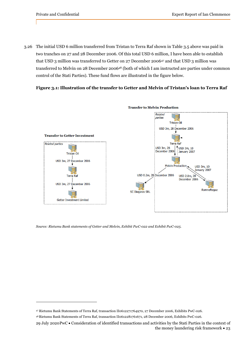3.26 The initial USD 6 million transferred from Tristan to Terra Raf shown in Table 3.5 above was paid in two tranches on 27 and 28 December 2006. Of this total USD 6 million, I have been able to establish that USD 3 million was transferred to Getter on 27 December 200647 and that USD 3 million was transferred to Melvin on 28 December 200648 (both of which I am instructed are parties under common control of the Stati Parties). These fund flows are illustrated in the figure below.

## **Figure 3.1: Illustration of the transfer to Getter and Melvin of Tristan's loan to Terra Raf**



*Source: Rietumu Bank statements of Getter and Melvin, Exhibit PwC-022 and Exhibit PwC-025.* 

<sup>47</sup> Rietumu Bank Statements of Terra Raf, transaction II0612271764970, 27 December 2006, Exhibits PwC-026.

<sup>48</sup> Rietumu Bank Statements of Terra Raf, transaction II0612281761671, 28 December 2006, Exhibits PwC-026.

<sup>29</sup> July 2020 PwC Consideration of identified transactions and activities by the Stati Parties in the context of the money laundering risk framework  $\cdot$  23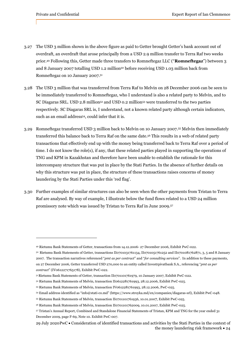- 3.27 The USD 3 million shown in the above figure as paid to Getter brought Getter's bank account out of overdraft, an overdraft that arose principally from a USD 2.9 million transfer to Terra Raf two weeks prior.49 Following this, Getter made three transfers to Romneftegaz LLC ("**Romneftegaz**") between 3 and 8 January 2007 totalling USD 1.2 million<sup>50</sup> before receiving USD 1.03 million back from Romneftegaz on 10 January 2007.51
- 3.28 The USD 3 million that was transferred from Terra Raf to Melvin on 28 December 2006 can be seen to be immediately transferred to Romneftegaz, who I understand is also a related party to Melvin, and to SC Diagaras SRL. USD 2.8 million<sup>52</sup> and USD 0.2 million<sup>53</sup> were transferred to the two parties respectively. SC Diagaras SRL is, I understand, not a known related party although certain indicators, such as an email address<sup>54</sup>, could infer that it is.
- 3.29 Romneftegaz transferred USD 3 million back to Melvin on 10 January 2007.55 Melvin then immediately transferred this balance back to Terra Raf on the same date.56 This results in a web of related party transactions that effectively end up with the money being transferred back to Terra Raf over a period of time. I do not know the role(s), if any, that these related parties played in supporting the operations of TNG and KPM in Kazakhstan and therefore have been unable to establish the rationale for this intercompany structure that was put in place by the Stati Parties. In the absence of further details on why this structure was put in place, the structure of these transactions raises concerns of money laundering by the Stati Parties under this 'red flag'.
- 3.30 Further examples of similar structures can also be seen when the other payments from Tristan to Terra Raf are analysed. By way of example, I illustrate below the fund flows related to a USD 24 million promissory note which was issued by Tristan to Terra Raf in June 2009.57

<sup>49</sup> Rietumu Bank Statements of Getter, transactions from 14.12.2006- 27 December 2006, Exhibit PwC-022.

<sup>50</sup> Rietumu Bank Statements of Getter, transactions II0701031761134, II0701051761252 and II0701081762871, 3, 5 and 8 January 2007. The transaction narratives referenced "*pmt as per contract*" and "*for consulting services*". In addition to these payments, on 27 December 2006, Getter transferred USD 270,000 to an entity called Investrpivatbank S.A., referencing "*pmt as per contract*" (IV0612271765178), Exhibit PwC-022.

<sup>51</sup> Rietumu Bank Statements of Getter, transaction II0701101761979, 10 January 2007, Exhibit PwC-022.

<sup>52</sup> Rietumu Bank Statements of Melvin, transaction II0612281761993, 28.12.2006, Exhibit PwC-025.

<sup>53</sup> Rietumu Bank Statements of Melvin, transaction IV0612281761993, 28.12.2006, PwC-025.

<sup>54</sup> Email address identified as "info@stati-co.md" (https://www.stroyka.md/en/companies/diagaras-srl), Exhibit PwC-048.

<sup>55</sup> Rietumu Bank Statements of Melvin, transaction II0701101761936, 10.01.2007, Exhibit PwC-025.

<sup>56</sup> Rietumu Bank Statements of Melvin, transaction II0701101762009, 10.01.2007, Exhibit PwC-025.

<sup>57</sup> Tristan's Annual Report, Combined and Standalone Financial Statements of Tristan, KPM and TNG for the year ended 31 December 2009, page F-69, Note 10. Exhibit PwC-007.

<sup>29</sup> July 2020 PwC Consideration of identified transactions and activities by the Stati Parties in the context of the money laundering risk framework  $\cdot$  24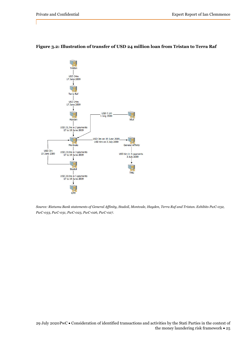

## **Figure 3.2: Illustration of transfer of USD 24 million loan from Tristan to Terra Raf**

*Source: Rietumu Bank statements of General Affinity, Stadoil, Montvale, Hayden, Terra Raf and Tristan. Exhibits PwC-032, PwC-033, PwC-031, PwC-023, PwC-026, PwC-027.*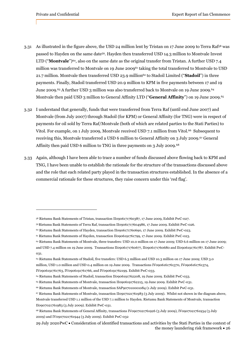- 3.31 As illustrated in the figure above, the USD 24 million lent by Tristan on 17 June 2009 to Terra Raf58 was passed to Hayden on the same date59. Hayden then transferred USD 14.3 million to Montvale Invest LTD ("**Montvale**")<sup>60</sup>, also on the same date as the original transfer from Tristan. A further USD 7.4 million was transferred to Montvale on 19 June 200961 taking the total transferred to Montvale to USD 21.7 million. Montvale then transferred USD 23.9 million<sup>62</sup> to Stadoil Limited ("**Stadoil**") in three payments. Finally, Stadoil transferred USD 20.9 million to KPM in five payments between 17 and 19 June 2009.<sup>63</sup> A further USD 3 million was also transferred back to Montvale on 19 June 2009.<sup>64</sup> Montvale then paid USD 3 million to General Affinity LTD ("**General Affinity**") on 19 June 2009.65
- 3.32 I understand that generally, funds that were transferred from Terra Raf (until end June 2007) and Montvale (from July 2007) through Stadoil (for KPM) or General Affinity (for TNG) were in respect of payments for oil sold by Terra Raf/Montvale (both of which are related parties to the Stati Parties) to Vitol. For example, on 1 July 2009, Montvale received USD 7.1 million from Vitol.66 Subsequent to receiving this, Montvale transferred a USD 6 million to General Affinity on 3 July 2009.67 General Affinity then paid USD 6 million to TNG in three payments on 3 July 2009.68
- 3.33 Again, although I have been able to trace a number of funds discussed above flowing back to KPM and TNG, I have been unable to establish the rationale for the structure of the transactions discussed above and the role that each related party played in the transaction structures established. In the absence of a commercial rationale for these structures, they raise concern under this 'red flag'.

<sup>58</sup> Rietumu Bank Statements of Tristan, transaction II0906171760387, 17 June 2009, Exhibit PwC-027.

<sup>59</sup> Rietumu Bank Statements of Terra Raf, transaction II09061717604986, 17 June 2009. Exhibit PwC-026.

<sup>60</sup> Rietumu Bank Statements of Hayden, transaction II0906171760690, 17 June 2009. Exhibit PwC-023.

<sup>61</sup> Rietumu Bank Statements of Hayden, transaction II0906191761799, 17 June 2009. Exhibit PwC-023.

<sup>62</sup> Rietumu Bank Statements of Montvale, three transfers: USD 10.0 million on 17 June 2009; USD 6.6 million on 17 June 2009; and USD 7.4 million on 19 June 2009. Transactions II0906171760677, II0906171760680 and II0906191761787. Exhibit PwC-031.

<sup>63</sup> Rietumu Bank Statements of Stadoil, five transfers: USD 6.3 million and USD 10.3 million on 17 June 2009; USD 3.0 million, USD 1.0 million and USD 0.4 million on 19 June 2009. Transactions IV0906161761370, IV0906161761374,

IV0906191761763, IV0906191761766, and IV0906191762199. Exhibit PwC-033.

<sup>64</sup> Rietumu Bank Statements of Stadoil, transaction II0906191762208, 19 June 2009. Exhibit PwC-033.

<sup>65</sup> Rietumu Bank Statements of Montvale, transaction II0906191762215, 19 June 2009. Exhibit PwC-031.

<sup>66</sup> Rietumu Bank Statements of Montvale, transaction SAP907010001084 (1 July 2009). Exhibit PwC-031.

<sup>67</sup> Rietumu Bank Statements of Montvale, transaction II0907021761983 (3 July 2009). Whilst not shown in the diagram above,

Montvale transferred USD 1.1 million of the USD 7.1 million to Hayden. Rietumu Bank Statements of Montvale, transaction II0907021761983 (3 July 2009). Exhibit PwC-031.

<sup>68</sup> Rietumu Bank Statements of General Affinity, transactions IV0907021761926 (3 July 2009), IV0907021761934 (3 July 2009) and IV0907021761944 (3 July 2009). Exhibit PwC-032

<sup>29</sup> July 2020 PwC Consideration of identified transactions and activities by the Stati Parties in the context of the money laundering risk framework  $\cdot$  26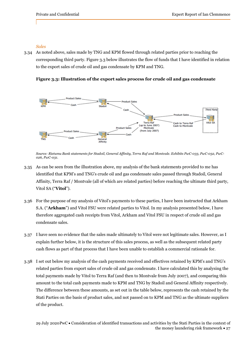### *Sales*

3.34 As noted above, sales made by TNG and KPM flowed through related parties prior to reaching the corresponding third party. Figure 3.3 below illustrates the flow of funds that I have identified in relation to the export sales of crude oil and gas condensate by KPM and TNG.

**Figure 3.3: Illustration of the export sales process for crude oil and gas condensate** 



*Source: Rietumu Bank statements for Stadoil, General Affinity, Terra Raf and Montvale. Exhibits PwC-033, PwC-032, PwC-026, PwC-031.*

- 3.35 As can be seen from the illustration above, my analysis of the bank statements provided to me has identified that KPM's and TNG's crude oil and gas condensate sales passed through Stadoil, General Affinity, Terra Raf / Montvale (all of which are related parties) before reaching the ultimate third party, Vitol SA ("**Vitol**").
- 3.36 For the purpose of my analysis of Vitol's payments to these parties, I have been instructed that Arkham S.A. ("**Arkham**") and Vitol FSU were related parties to Vitol. In my analysis presented below, I have therefore aggregated cash receipts from Vitol, Arkham and Vitol FSU in respect of crude oil and gas condensate sales.
- 3.37 I have seen no evidence that the sales made ultimately to Vitol were not legitimate sales. However, as I explain further below, it is the structure of this sales process, as well as the subsequent related party cash flows as part of that process that I have been unable to establish a commercial rationale for.
- 3.38 I set out below my analysis of the cash payments received and effectives retained by KPM's and TNG's related parties from export sales of crude oil and gas condensate. I have calculated this by analysing the total payments made by Vitol to Terra Raf (and then to Montvale from July 2007), and comparing this amount to the total cash payments made to KPM and TNG by Stadoil and General Affinity respectively. The difference between these amounts, as set out in the table below, represents the cash retained by the Stati Parties on the basis of product sales, and not passed on to KPM and TNG as the ultimate suppliers of the product.

29 July 2020 PwC Consideration of identified transactions and activities by the Stati Parties in the context of the money laundering risk framework  $\cdot$  27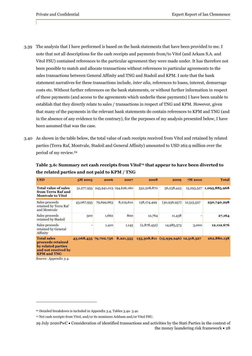- 3.39 The analysis that I have performed is based on the bank statements that have been provided to me. I note that not all descriptions for the cash receipts and payments from/to Vitol (and Arkam S.A. and Vitol FSU) contained references to the particular agreement they were made under. It has therefore not been possible to match and allocate transactions without references to particular agreements to the sales transactions between General Affinity and TNG and Stadoil and KPM. I note that the bank statement narratives for these transactions include, *inter alia,* references to loans, interest, demurrage costs etc. Without further references on the bank statements, or without further information in respect of these payments (and access to the agreements which underlie these payments) I have been unable to establish that they directly relate to sales / transactions in respect of TNG and KPM. However, given that many of the payments in the relevant bank statements do contain references to KPM and TNG (and in the absence of any evidence to the contrary), for the purposes of my analysis presented below, I have been assumed that was the case.
- 3.40 As shown in the table below, the total value of cash receipts received from Vitol and retained by related parties (Terra Raf, Montvale, Stadoil and General Affinity) amounted to USD 262.9 million over the period of my review.69

| <b>USD</b>                                                                                                        | 5M 2005               | 2006                               | 2007      | 2008        | 2009                                | $7M$ 2010  | <b>Total</b>             |
|-------------------------------------------------------------------------------------------------------------------|-----------------------|------------------------------------|-----------|-------------|-------------------------------------|------------|--------------------------|
| <b>Total value of sales</b><br>from Terra Raf and<br><b>Montvale to Vitol</b>                                     |                       | 51,277,955 245,941,013 194,626,160 |           | 532,508,870 | 56,238,443                          |            | 15,293,527 1,095,885,968 |
| Sales proceeds<br>retained by Terra Raf<br>and Montvale                                                           | 43,067,955            | 79,699,663                         | 8,219,610 | 138,174,499 | (30,936,957)                        | 12,515,527 | 250,740,298              |
| Sales proceeds<br>retained by Stadoil                                                                             | 500                   | 1,662                              | 800       | 12,764      | 11,438                              |            | 27,164                   |
| Sales proceeds<br>retained by General<br>Affinity                                                                 |                       | 1,410                              | 1,145     | (2,878,452) | 14,985,573                          | 3,000      | 12,112,676               |
| <b>Total sales</b><br>proceeds retained<br>by related parties<br>and not received by<br><b>KPM</b> and <b>TNG</b> | 43,068,455 79,702,736 |                                    | 8,221,555 |             | 135,308,811 (15,939,946) 12,518,527 |            | 262,880,138              |

## Table 3.6: Summary net cash receipts from Vitol<sup>70</sup> that appear to have been diverted to **the related parties and not paid to KPM / TNG**

*Source: Appendix 3.4.*

<sup>69</sup> Detailed breakdown is included in Appendix 3.4, Tables 3.4a- 3.4e.

<sup>70</sup> Net cash receipts from Vitol, and/or its nominees Arkham and/or Vitol FSU.

<sup>29</sup> July 2020 PwC Consideration of identified transactions and activities by the Stati Parties in the context of the money laundering risk framework  $\cdot$  28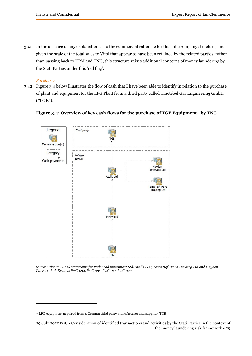3.41 In the absence of any explanation as to the commercial rationale for this intercompany structure, and given the scale of the total sales to Vitol that appear to have been retained by the related parties, rather than passing back to KPM and TNG, this structure raises additional concerns of money laundering by the Stati Parties under this 'red flag'.

### *Purchases*

3.42 Figure 3.4 below illustrates the flow of cash that I have been able to identify in relation to the purchase of plant and equipment for the LPG Plant from a third party called Tractebel Gas Engineering GmbH ("**TGE**").



### Figure 3.4: Overview of key cash flows for the purchase of TGE Equipment<sup>71</sup> by TNG

*Source: Rietumu Bank statements for Perkwood Investment Ltd, Azalia LLC, Terra Raf Trans Traiding Ltd and Hayden Intervest Ltd. Exhibits PwC-034, PwC-035, PwC-026,PwC-023.*

 $71$  LPG equipment acquired from a German third party manufacturer and supplier, TGE

<sup>29</sup> July 2020 PwC Consideration of identified transactions and activities by the Stati Parties in the context of the money laundering risk framework • 29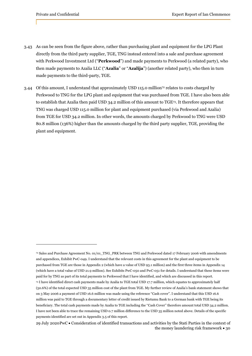- 3.43 As can be seen from the figure above, rather than purchasing plant and equipment for the LPG Plant directly from the third party supplier, TGE, TNG instead entered into a sale and purchase agreement with Perkwood Investment Ltd ("**Perkwood**") and made payments to Perkwood (a related party), who then made payments to Azalia LLC ("**Azalia**" or "**Azalija**") (another related party), who then in turn made payments to the third-party, TGE.
- 3.44 Of this amount, I understand that approximately USD 115.0 million<sup>72</sup> relates to costs charged by Perkwood to TNG for the LPG plant and equipment that was purchased from TGE. I have also been able to establish that Azalia then paid USD 34.2 million of this amount to TGE73. It therefore appears that TNG was charged USD 115.0 million for plant and equipment purchased (via Perkwood and Azalia) from TGE for USD 34.2 million. In other words, the amounts charged by Perkwood to TNG were USD 80.8 million (136%) higher than the amounts charged by the third party supplier, TGE, providing the plant and equipment.

<sup>72</sup> Sales and Purchase Agreement No. 01/01\_TNG\_PRK between TNG and Perkwood dated 17 February 2006 with amendments and appendices, Exhibit PwC-049. I understand that the relevant costs in this agreement for the plant and equipment to be purchased from TGE are those in Appendix 2 (which have a value of USD 93.1 million) and the first three items in Appendix 14 (which have a total value of USD 21.9 million). See Exhibits PwC-050 and PwC-051 for details. I understand that these items were paid for by TNG as part of its total payments to Perkwood that I have identified, and which are discussed in this report. 73 I have identified direct cash payments made by Azalia to TGE total USD 17.7 million, which equates to approximately half (50.6%) of the total expected USD 35 million cost of the plant from TGE. My further review of Azalia's bank statement shows that on 3 May 2006 a payment of USD 16.6 million was made using the reference "Cash cover". I understand that this USD 16.6 million was paid to TGE through a documentary letter of credit issued by Rietumu Bank to a German bank with TGE being its beneficiary. The total cash payments made by Azalia to TGE including the ''Cash Cover'' therefore amount total USD 34.2 million. I have not been able to trace the remaining USD 0.7 million difference to the USD 35 million noted above. Details of the specific payments identified are set out in Appendix 3.5 of this report.

<sup>29</sup> July 2020 PwC Consideration of identified transactions and activities by the Stati Parties in the context of the money laundering risk framework  $\bullet$  30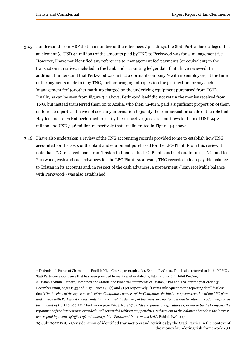- 3.45 I understand from HSF that in a number of their defences / pleadings, the Stati Parties have alleged that an element (c. USD 44 million) of the amounts paid by TNG to Perkwood was for a 'management fee'. However, I have not identified any references to 'management fee' payments (or equivalent) in the transaction narratives included in the bank and accounting ledger data that I have reviewed. In addition, I understand that Perkwood was in fact a dormant company,74 with no employees, at the time of the payments made to it by TNG, further bringing into question the justification for any such 'management fee' (or other mark-up charged on the underlying equipment purchased from TGE). Finally, as can be seen from Figure 3.4 above, Perkwood itself did not retain the monies received from TNG, but instead transferred them on to Azalia, who then, in-turn, paid a significant proportion of them on to related parties. I have not seen any information to justify the commercial rationale of the role that Hayden and Terra Raf performed to justify the respective gross cash outflows to them of USD 94.2 million and USD 53.6 million respectively that are illustrated in Figure 3.4 above.
- 3.46 I have also undertaken a review of the TNG accounting records provided to me to establish how TNG accounted for the costs of the plant and equipment purchased for the LPG Plant. From this review, I note that TNG received loans from Tristan to finance the LPG Plant construction. In turn, TNG paid to Perkwood, cash and cash advances for the LPG Plant. As a result, TNG recorded a loan payable balance to Tristan in its accounts and, in respect of the cash advances, a prepayment / loan receivable balance with Perkwood<sup>75</sup> was also established.

<sup>74</sup> Defendant's Points of Claim in the English High Court, paragraph 2 (2), Exhibit PwC-016. This is also referred to in the KPMG / Stati Party correspondence that has been provided to me, in a letter dated 15 February 2016, Exhibit PwC-052.

<sup>75</sup> Tristan's Annual Report, Combined and Standalone Financial Statements of Tristan, KPM and TNG for the year ended 31 December 2009, pages F-53 and F-174, Notes 34 (c) and 31 (c) respectively: "Events subsequent to the reporting date" disclose that "*[i]n the view of the expected sale of the Companies, owners of the Companies decided to stop construction of the LPG plant and agreed with Perkwood Investments Ltd. to cancel the delivery of the necessary equipment and to return the advance paid in the amount of USD 36,800,212*." Further on page F-164, Note 27(c): "*due to financial difficulties experienced by the Company the repayment of the interest was extended until demanded without any penalties. Subsequent to the balance sheet date the interest was repaid by means of offset of…advances paid to Perkwood Investments Ltd.*". Exhibit PwC-007.

<sup>29</sup> July 2020 PwC Consideration of identified transactions and activities by the Stati Parties in the context of the money laundering risk framework  $\cdot$  31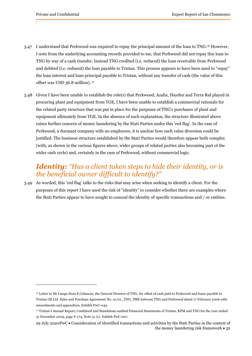- 3.47 I understand that Perkwood was required to repay the principal amount of the loan to TNG.76 However, I note from the underlying accounting records provided to me, that Perkwood did not repay this loan to TNG by way of a cash transfer. Instead TNG credited (i.e. reduced) the loan receivable from Perkwood and debited (i.e. reduced) the loan payable to Tristan. This process appears to have been used to "repay" the loan interest and loan principal payable to Tristan, without any transfer of cash (the value of this offset was USD 36.8 million). 77
- 3.48 Given I have been unable to establish the role(s) that Perkwood, Azalia, Hayden and Terra Raf played in procuring plant and equipment from TGE, I have been unable to establish a commercial rationale for the related party structure that was put in place for the purposes of TNG's purchases of plant and equipment ultimately from TGE. In the absence of such explanation, the structure illustrated above raises further concern of money laundering by the Stati Parties under this 'red flag'. In the case of Perkwood, a dormant company with no employees, it is unclear how such value diversion could be justified. The business structure established by the Stati Parties would therefore appear both complex (with, as shown in the various figures above, wider groups of related parties also becoming part of the wider cash cycle) and, certainly in the case of Perkwood, without commercial logic.

# *Identity: "Has a client taken steps to hide their identity, or is the beneficial owner difficult to identify?"*

3.49 As worded, this 'red flag' talks to the risks that may arise when seeking to identify a client. For the purposes of this report I have used the risk of "identity" to consider whether there are examples where the Stati Parties appear to have sought to conceal the identity of specific transactions and / or entities.

<sup>76</sup> Letter to Mr Lungu from E.Calancea, the General Director of TNG, for offset of cash paid to Perkwood and loans payable to Tristan Oil Ltd. Sales and Purchase Agreement No. 01/01\_TNG\_PRK between TNG and Perkwood dated 17 February 2006 with amendments and appendices, Exhibit PwC-049.

<sup>77</sup> Tristan's Annual Report, Combined and Standalone audited Financial Statements of Tristan, KPM and TNG for the year ended 31 December 2009, page F-174, Note 31 (c). Exhibit PwC-007.

<sup>29</sup> July 2020 PwC Consideration of identified transactions and activities by the Stati Parties in the context of the money laundering risk framework  $\bullet$  32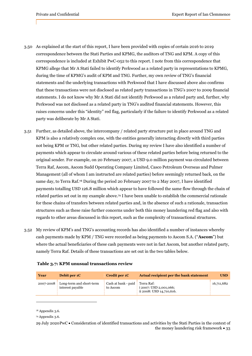- 3.50 As explained at the start of this report, I have been provided with copies of certain 2016 to 2019 correspondence between the Stati Parties and KPMG, the auditors of TNG and KPM. A copy of this correspondence is included at Exhibit PwC-052 to this report. I note from this correspondence that KPMG allege that Mr A Stati failed to identify Perkwood as a related party in representations to KPMG, during the time of KPMG's audit of KPM and TNG. Further, my own review of TNG's financial statements and the underlying transactions with Perkwood that I have discussed above also confirms that these transactions were not disclosed as related party transactions in TNG's 2007 to 2009 financial statements. I do not know why Mr A Stati did not identify Perkwood as a related party and, further, why Perkwood was not disclosed as a related party in TNG's audited financial statements. However, this raises concerns under this "identity" red flag, particularly if the failure to identify Perkwood as a related party was deliberate by Mr A Stati.
- 3.51 Further, as detailed above, the intercompany / related party structure put in place around TNG and KPM is also a relatively complex one, with the entities generally interacting directly with third parties not being KPM or TNG, but other related parties. During my review I have also identified a number of payments which appear to circulate around various of these related parties before being returned to the original sender. For example, on 20 February 2007, a USD 9.0 million payment was circulated between Terra Raf, Ascom, Ascom Sudd Operating Company Limited, Casco Petroleum Overseas and Pulmer Management (all of whom I am instructed are related parties) before seemingly returned back, on the same day, to Terra Raf.78 During the period 20 February 2007 to 2 May 2007, I have identified payments totalling USD 126.8 million which appear to have followed the same flow through the chain of related parties set out in my example above.79 I have been unable to establish the commercial rationale for these chains of transfers between related parties and, in the absence of such a rationale, transaction structures such as these raise further concerns under both this money laundering red flag and also with regards to other areas discussed in this report, such as the complexity of transactional structures.
- 3.52 My review of KPM's and TNG's accounting records has also identified a number of instances whereby cash payments made by KPM / TNG were recorded as being payments to Ascom S.A. ("**Ascom**") but where the actual beneficiaries of these cash payments were not in fact Ascom, but another related party, namely Terra Raf. Details of these transactions are set out in the two tables below.

| Year      | Debit per 1C                                 | Credit per 1C                   | Actual recipient per the bank statement                          | <b>USD</b> |
|-----------|----------------------------------------------|---------------------------------|------------------------------------------------------------------|------------|
| 2007-2008 | Long-term and short-term<br>interest payable | Cash at bank - paid<br>to Ascom | Terra Raf:<br>i 2007: USD 2,001,066;<br>ii 2008: USD 14,710,616. | 16,711,682 |

### **Table 3.7: KPM unusual transactions review**

<sup>78</sup> Appendix 3.6.

<sup>79</sup> Appendix 3.6.

<sup>29</sup> July 2020 PwC Consideration of identified transactions and activities by the Stati Parties in the context of the money laundering risk framework  $\cdot$  33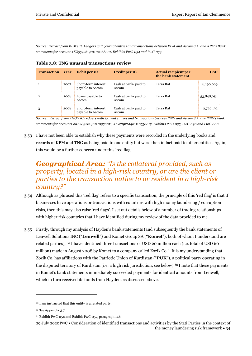*Source: Extract from KPM's 1C Ledgers with journal entries and transactions between KPM and Ascom S.A. and KPM's Bank statements for account #KZ559261401107068001. Exhibits PwC-054 and PwC-053.*

| <b>Transaction Year</b> |      | Debit per 1C                            | Credit per 1C                  | <b>Actual recipient per</b><br>the bank statement | <b>USD</b> |
|-------------------------|------|-----------------------------------------|--------------------------------|---------------------------------------------------|------------|
|                         | 2007 | Short-term interest<br>payable to Ascom | Cash at bank- paid to<br>Ascom | Terra Raf                                         | 8,190,069  |
| $\overline{2}$          | 2008 | Loans payable to<br>Ascom               | Cash at bank- paid to<br>Ascom | Terra Raf                                         | 53,848,054 |
| 3                       | 2008 | Short-term interest<br>payable to Ascom | Cash at bank- paid to<br>Ascom | Terra Raf                                         | 2,726,192  |

**Table 3.8: TNG unusual transactions review**

*Source: Extract from TNG's 1C Ledgers with journal entries and transactions between TNG and Ascom S.A. and TNG's bank statements for accounts #KZ289261401110550011, #KZ719261401110550013, Exhibits PwC-055, PwC-030 and PwC-008.* 

3.53 I have not been able to establish why these payments were recorded in the underlying books and records of KPM and TNG as being paid to one entity but were then in fact paid to other entities. Again, this would be a further concern under this 'red flag'.

# *Geographical Area: "Is the collateral provided, such as property, located in a high-risk country, or are the client or parties to the transaction native to or resident in a high-risk country?"*

- 3.54 Although as phrased this 'red flag' refers to a specific transaction, the principle of this 'red flag' is that if businesses have operations or transactions with countries with high money laundering / corruption risks, then this may also raise 'red flags'. I set out details below of a number of trading relationships with higher risk countries that I have identified during my review of the data provided to me.
- 3.55 Firstly, through my analysis of Hayden's bank statements (and subsequently the bank statements of Lenwell Solutions INC ("**Lenwell**") and Komet Group SA ("**Komet**"), both of whom I understand are related parties), <sup>80</sup> I have identified three transactions of USD 20 million each (i.e. total of USD 60 million) made in August 2008 by Komet to a company called Zozik Co.<sup>81</sup> It is my understanding that Zozik Co. has affiliations with the Patriotic Union of Kurdistan ("**PUK**"), a political party operating in the disputed territory of Kurdistan (i.e. a high risk jurisdiction, see below).82 I note that these payments in Komet's bank statements immediately succeeded payments for identical amounts from Lenwell, which in turn received its funds from Hayden, as discussed above.

<sup>80</sup> I am instructed that this entity is a related party.

<sup>81</sup> See Appendix 3.7

<sup>82</sup> Exhibit PwC-056 and Exhibit PwC-057, paragraph 146.

<sup>29</sup> July 2020 PwC Consideration of identified transactions and activities by the Stati Parties in the context of the money laundering risk framework  $\bullet$  34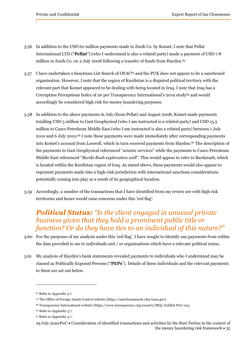- 3.56 In addition to the USD 60 million payments made to Zozik Co. by Komet, I note that Pellat International LTD ("**Pellat**") (who I understand is also a related party) made a payment of USD 7.8 million to Zozik Co. on 2 July 2008 following a transfer of funds from Hayden.<sup>83</sup>
- 3.57 I have undertaken a Sanctions List Search of OFAC84 and the PUK does not appear to be a sanctioned organisation. However, I note that the region of Kurdistan is a disputed political territory with the relevant part that Komet appeared to be dealing with being located in Iraq. I note that Iraq has a Corruption Perceptions Index of 20 per Transparency International's 2019 study<sup>85</sup> and would accordingly be considered high risk for money laundering purposes.
- 3.58 In addition to the above payments in July (from Pellat) and August 2008, Komet made payments totalling USD 5 million to Gast Geophysical (who I am instructed is a related party) and USD 15.5 million to Casco Petroleum Middle East (who I am instructed is also a related party) between 1 July 2010 and 6 July 2010.86 I note these payments were made immediately after corresponding payments into Komet's account from Lenwell, which in turn received payments from Hayden.87 The description of the payments to Gast Geophysical referenced "*seismic services*" while the payments to Casco Petroleum Middle East referenced "*Barda Rash exploration well*". This would appear to refer to Bardarash, which is located within the Kurdistan region of Iraq. As stated above, these payments would also appear to represent payments made into a high-risk jurisdiction with international sanctions considerations potentially coming into play as a result of its geographical location.
- 3.59 Accordingly, a number of the transactions that I have identified from my review are with high risk territories and hence would raise concerns under this 'red flag'.

# *Political Status: "Is the client engaged in unusual private business given that they hold a prominent public title or function? Or do they have ties to an individual of this nature?"*

- 3.60 For the purposes of my analysis under this 'red flag', I have sought to identify any payments from within the data provided to me to individuals and / or organisations which have a relevant political status.
- 3.61 My analysis of Hayden's bank statements revealed payments to individuals who I understand may be classed as Politically Exposed Persons ("**PEPs**"). Details of these individuals and the relevant payments to them are set out below.

<sup>83</sup> Refer to Appendix 3.7.

<sup>84</sup> The Office of Foreign Assets Control website (https://sanctionssearch.ofac.treas.gov).

<sup>85</sup> Transparency International website (https://www.transparency.org/country/IRQ), Exhibit PwC-015.

<sup>86</sup> Refer to Appendix 3.7.

<sup>87</sup> Refer to Appendix 3.7.

<sup>29</sup> July 2020 PwC Consideration of identified transactions and activities by the Stati Parties in the context of the money laundering risk framework  $\cdot$  35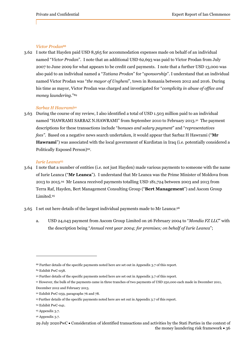#### *Victor Prodan*<sup>88</sup>

3.62 I note that Hayden paid USD 8,565 for accommodation expenses made on behalf of an individual named "*Victor Prodan*". I note that an additional USD 62,693 was paid to Victor Prodan from July 2007 to June 2009 for what appears to be credit card payments. I note that a further USD 13,000 was also paid to an individual named a "*Tatiana Prodan*" for "*sponsorship*". I understand that an individual named Victor Prodan was "*the mayor of Ungheni*", town in Romania between 2012 and 2016. During his time as mayor, Victor Prodan was charged and investigated for "*complicity in abuse of office and money laundering*."89

#### *Sarbaz H Hawrami*<sup>90</sup>

3.63 During the course of my review, I also identified a total of USD 1.503 million paid to an individual named "HAWRAMI SARBAZ N.HAWRAMI" from September 2010 to February 2013.91 The payment descriptions for these transactions include "*bonuses and salary payment*" and "*representatives fees"*. Based on a negative news search undertaken, it would appear that Sarbaz H Hawrami ("**Mr Hawrami**") was associated with the local government of Kurdistan in Iraq (i.e. potentially considered a Politically Exposed Person)92.

#### *Iurie Leanca*<sup>93</sup>

- 3.64 I note that a number of entities (i.e. not just Hayden) made various payments to someone with the name of Iurie Leanca ("**Mr Leanca**"). I understand that Mr Leanca was the Prime Minister of Moldova from 2013 to 2015.94 Mr Leanca received payments totalling USD 181,724 between 2003 and 2013 from Terra Raf, Hayden, Bert Management Consulting Group ("**Bert Management**") and Ascom Group Limited.95
- 3.65 I set out here details of the largest individual payments made to Mr Leanca:96
	- a. USD 24,043 payment from Ascom Group Limited on 26 February 2004 to "*Mondia FZ LLC*" with the description being "*Annual rent year 2004; for premises; on behalf of Iurie Leanca*";

91 However, the bulk of the payments came in three tranches of two payments of USD 250,000 each made in December 2011,

<sup>88</sup> Further details of the specific payments noted here are set out in Appendix 3.7 of this report.

<sup>89</sup> Exhibit PwC-058.

<sup>90</sup> Further details of the specific payments noted here are set out in Appendix 3.7 of this report.

December 2012 and February 2013.

<sup>92</sup> Exhibit PwC-059, paragraphs 76 and 78.

<sup>93</sup> Further details of the specific payments noted here are set out in Appendix 3.7 of this report.

<sup>94</sup> Exhibit PwC-041.

<sup>95</sup> Appendix 3.7.

<sup>96</sup> Appendix 3.7.

<sup>29</sup> July 2020 PwC Consideration of identified transactions and activities by the Stati Parties in the context of the money laundering risk framework  $\cdot$  36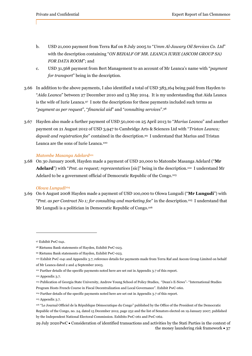- b. USD 21,000 payment from Terra Raf on 8 July 2005 to "*Umm Al-Jawary Oil Services Co. Ltd*" with the description containing "*ON BEHALF OF MR. LEANCA IURIE (ASCOM GROUP SA) FOR DATA ROOM*"; and
- c. USD 31,568 payment from Bert Management to an account of Mr Leanca's name with "*payment for transport*" being in the description.
- 3.66 In addition to the above payments, I also identified a total of USD 383,164 being paid from Hayden to "*Aida Leanca*" between 27 December 2010 and 13 May 2014. It is my understanding that Aida Leanca is the wife of Iurie Leanca.97 I note the descriptions for these payments included such terms as "*payment as per request*", "*financial aid*" and "*consulting services*".98
- 3.67 Hayden also made a further payment of USD 50,000 on 25 April 2013 to "*Marius Leanca*" and another payment on 21 August 2012 of USD 3,947 to Cambridge Arts & Sciences Ltd with "*Tristan Leanca; deposit and registration fee*" contained in the description.99 I understand that Marius and Tristan Leanca are the sons of Iurie Leanca.100

### *Matombe Masanga Adelard*<sup>101</sup>

3.68 On 30 January 2008, Hayden made a payment of USD 20,000 to Matombe Masanga Adelard ("**Mr Adelard**") with "*Pmt. as request; reprezentatives* [sic]" being in the description.102 I understand Mr Adelard to be a government official of Democratic Republic of the Congo.103

### *Olowa Lungudi*<sup>104</sup>

3.69 On 6 August 2008 Hayden made a payment of USD 100,000 to Olowa Lungudi ("**Mr Lungudi**") with "*Pmt. as per Contract No 1; for consulting and marketing fee*" in the description.105 I understand that Mr Lungudi is a politician in Democratic Republic of Congo.106

103 Publication of Georgia State University, Andrew Young School of Policy Studies, "Dean's E-News"- "International Studies Program Hosts French Course in Fiscal Decentralization and Local Governance". Exhibit PwC-060.

<sup>97</sup> Exhibit PwC-041.

<sup>98</sup> Rietumu Bank statements of Hayden, Exhibit PwC-023.

<sup>99</sup> Rietumu Bank statements of Hayden, Exhibit PwC-023.

<sup>100</sup> Exhibit PwC-041 and Appendix 3.7, reference details for payments made from Terra Raf and Ascom Group Limited on behalf of Mr Leanca dated 2 and 4 September 2003.

<sup>101</sup> Further details of the specific payments noted here are set out in Appendix 3.7 of this report.

<sup>102</sup> Appendix 3.7.

<sup>104</sup> Further details of the specific payments noted here are set out in Appendix 3.7 of this report.

<sup>105</sup> Appendix 3.7.

<sup>106 &</sup>quot;Le Journal Officiel de la République Démocratique du Congo" published by the Office of the President of the Democratic Republic of the Congo, no. 24, dated 15 December 2012, page 252 and the list of Senators elected on 19 January 2007, published by the Independent National Electoral Commission. Exhibits PwC-061 and PwC-062.

<sup>29</sup> July 2020 PwC Consideration of identified transactions and activities by the Stati Parties in the context of the money laundering risk framework  $\bullet$  37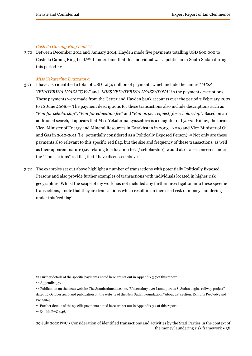#### *Costello Garang Ring Lual 107*

3.70 Between December 2011 and January 2014, Hayden made five payments totalling USD 600,000 to Costello Garang Ring Lual.108 I understand that this individual was a politician in South Sudan during this period.109

#### *Miss Yekaterina Lyazzatova*

- 3.71 I have also identified a total of USD 1.254 million of payments which include the names "*MISS YEKATERINA LYAZATOVA*" and "*MISS YEKATERINA LYAZZATOVA*" in the payment descriptions. These payments were made from the Getter and Hayden bank accounts over the period 7 February 2007 to 16 June 2008.110 The payment descriptions for these transactions also include descriptions such as "*Pmt for scholarship*", "*Pmt for education fee*" and "*Pmt as per request; for scholarship*". Based on an additional search, it appears that Miss Yekaterina Lyazzatova is a daughter of Lyazzat Kiinov, the former Vice- Minister of Energy and Mineral Resources in Kazakhstan in 2003 - 2010 and Vice-Minister of Oil and Gas in 2010-2011 (i.e. potentially considered as a Politically Exposed Person).111 Not only are these payments also relevant to this specific red flag, but the size and frequency of these transactions, as well as their apparent nature (i.e. relating to education fees / scholarship), would also raise concerns under the "Transactions" red flag that I have discussed above.
- 3.72 The examples set out above highlight a number of transactions with potentially Politically Exposed Persons and also provide further examples of transactions with individuals located in higher risk geographies. Whilst the scope of my work has not included any further investigation into these specific transactions, I note that they are transactions which result in an increased risk of money laundering under this 'red flag'.

<sup>&</sup>lt;sup>107</sup> Further details of the specific payments noted here are set out in Appendix 3.7 of this report.

<sup>108</sup> Appendix 3.7.

<sup>109</sup> Publication on the news website The Standardmedia.co.ke, "Uncertainty over Lamu port as S. Sudan begins railway project" dated 12 October 2010 and publication on the website of the New Sudan Foundation, "About us" section. Exhibits PwC-063 and PwC-064.

<sup>110</sup> Further details of the specific payments noted here are set out in Appendix 3.7 of this report.

<sup>&</sup>lt;sup>111</sup> Exhibit PwC-046.

<sup>29</sup> July 2020 PwC Consideration of identified transactions and activities by the Stati Parties in the context of the money laundering risk framework  $\cdot$  38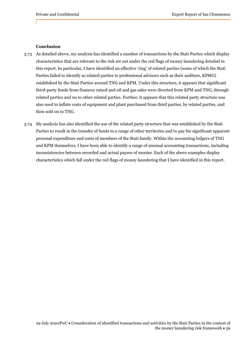#### **Conclusion**

- 3.73 As detailed above, my analysis has identified a number of transactions by the Stati Parties which display characteristics that are relevant to the risk set out under the red flags of money laundering detailed in this report. In particular, I have identified an effective 'ring' of related parties (some of which the Stati Parties failed to identify as related parties to professional advisors such as their auditors, KPMG) established by the Stati Parties around TNG and KPM. Under this structure, it appears that significant third-party funds from finances raised and oil and gas sales were diverted from KPM and TNG, through related parties and on to other related parties. Further, it appears that this related party structure was also used to inflate costs of equipment and plant purchased from third parties, by related parties, and then sold on to TNG.
- 3.74 My analysis has also identified the use of the related party structure that was established by the Stati Parties to result in the transfer of funds to a range of other territories and to pay for significant apparent personal expenditure and costs of members of the Stati family. Within the accounting ledgers of TNG and KPM themselves, I have been able to identify a range of unusual accounting transactions, including inconsistencies between recorded and actual payees of monies. Each of the above examples display characteristics which fall under the red flags of money laundering that I have identified in this report.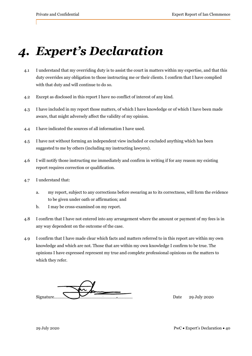# *4. Expert's Declaration*

- 4.1 I understand that my overriding duty is to assist the court in matters within my expertise, and that this duty overrides any obligation to those instructing me or their clients. I confirm that I have complied with that duty and will continue to do so.
- 4.2 Except as disclosed in this report I have no conflict of interest of any kind.
- 4.3 I have included in my report those matters, of which I have knowledge or of which I have been made aware, that might adversely affect the validity of my opinion.
- 4.4 I have indicated the sources of all information I have used.
- 4.5 I have not without forming an independent view included or excluded anything which has been suggested to me by others (including my instructing lawyers).
- 4.6 I will notify those instructing me immediately and confirm in writing if for any reason my existing report requires correction or qualification.
- 4.7 I understand that:
	- a. my report, subject to any corrections before swearing as to its correctness, will form the evidence to be given under oath or affirmation; and
	- b. I may be cross-examined on my report.
- 4.8 I confirm that I have not entered into any arrangement where the amount or payment of my fees is in any way dependent on the outcome of the case.
- 4.9 I confirm that I have made clear which facts and matters referred to in this report are within my own knowledge and which are not. Those that are within my own knowledge I confirm to be true. The opinions I have expressed represent my true and complete professional opinions on the matters to which they refer.

Signature…………………………………………………………… Date 29 July 2020